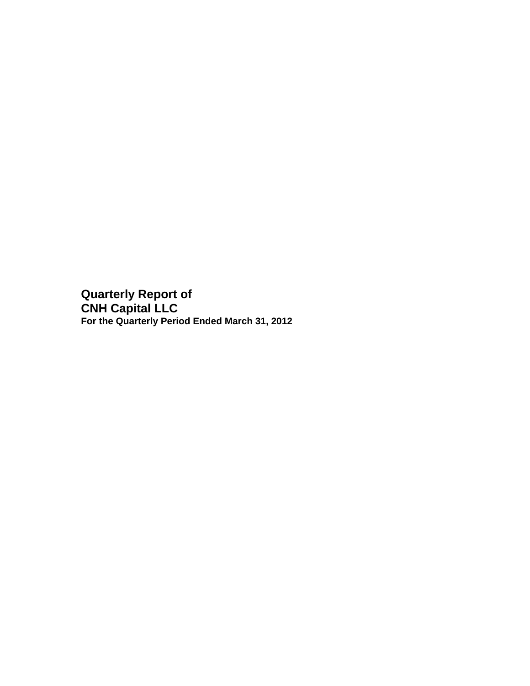**Quarterly Report of CNH Capital LLC For the Quarterly Period Ended March 31, 2012**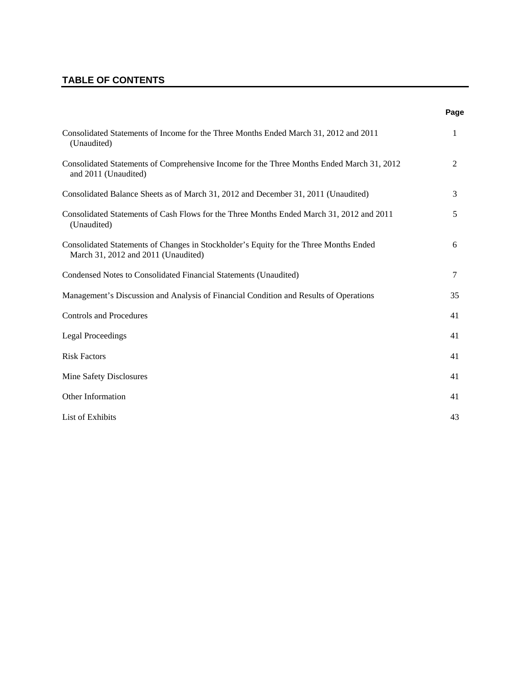# **TABLE OF CONTENTS**

| I<br>. .<br>۰.<br>×<br>٠ |
|--------------------------|
|--------------------------|

| Consolidated Statements of Income for the Three Months Ended March 31, 2012 and 2011<br>(Unaudited)                          | $\mathbf{1}$ |
|------------------------------------------------------------------------------------------------------------------------------|--------------|
| Consolidated Statements of Comprehensive Income for the Three Months Ended March 31, 2012<br>and 2011 (Unaudited)            | 2            |
| Consolidated Balance Sheets as of March 31, 2012 and December 31, 2011 (Unaudited)                                           | 3            |
| Consolidated Statements of Cash Flows for the Three Months Ended March 31, 2012 and 2011<br>(Unaudited)                      | 5            |
| Consolidated Statements of Changes in Stockholder's Equity for the Three Months Ended<br>March 31, 2012 and 2011 (Unaudited) | 6            |
| Condensed Notes to Consolidated Financial Statements (Unaudited)                                                             | 7            |
| Management's Discussion and Analysis of Financial Condition and Results of Operations                                        | 35           |
| <b>Controls and Procedures</b>                                                                                               | 41           |
| <b>Legal Proceedings</b>                                                                                                     | 41           |
| <b>Risk Factors</b>                                                                                                          | 41           |
| Mine Safety Disclosures                                                                                                      | 41           |
| Other Information                                                                                                            | 41           |
| List of Exhibits                                                                                                             | 43           |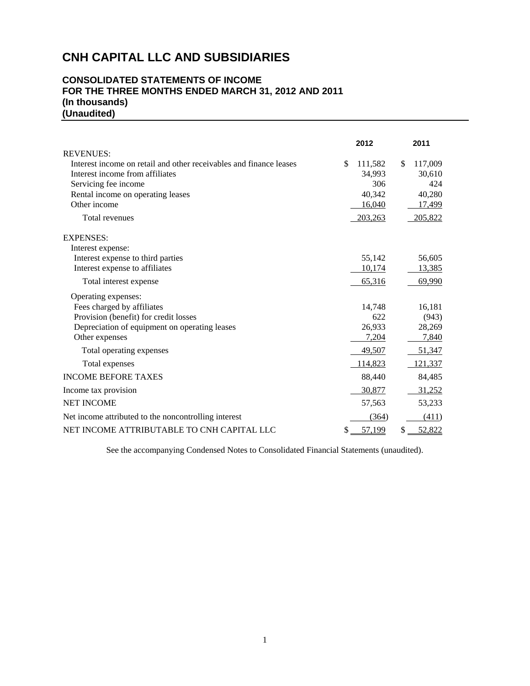## **CONSOLIDATED STATEMENTS OF INCOME FOR THE THREE MONTHS ENDED MARCH 31, 2012 AND 2011 (In thousands) (Unaudited)**

|                                                                    | 2012          | 2011          |
|--------------------------------------------------------------------|---------------|---------------|
| <b>REVENUES:</b>                                                   |               |               |
| Interest income on retail and other receivables and finance leases | \$<br>111,582 | \$<br>117,009 |
| Interest income from affiliates                                    | 34,993        | 30,610        |
| Servicing fee income                                               | 306           | 424           |
| Rental income on operating leases                                  | 40,342        | 40,280        |
| Other income                                                       | 16,040        | 17,499        |
| Total revenues                                                     | 203,263       | 205,822       |
| <b>EXPENSES:</b>                                                   |               |               |
| Interest expense:                                                  |               |               |
| Interest expense to third parties                                  | 55,142        | 56,605        |
| Interest expense to affiliates                                     | 10,174        | 13,385        |
| Total interest expense                                             | 65,316        | 69,990        |
| Operating expenses:                                                |               |               |
| Fees charged by affiliates                                         | 14,748        | 16,181        |
| Provision (benefit) for credit losses                              | 622           | (943)         |
| Depreciation of equipment on operating leases                      | 26,933        | 28,269        |
| Other expenses                                                     | 7,204         | 7,840         |
| Total operating expenses                                           | 49,507        | 51,347        |
| Total expenses                                                     | 114,823       | 121,337       |
| <b>INCOME BEFORE TAXES</b>                                         | 88,440        | 84,485        |
| Income tax provision                                               | 30,877        | 31,252        |
| <b>NET INCOME</b>                                                  | 57,563        | 53,233        |
| Net income attributed to the noncontrolling interest               | (364)         | (411)         |
| NET INCOME ATTRIBUTABLE TO CNH CAPITAL LLC                         | \$<br>57,199  | \$<br>52,822  |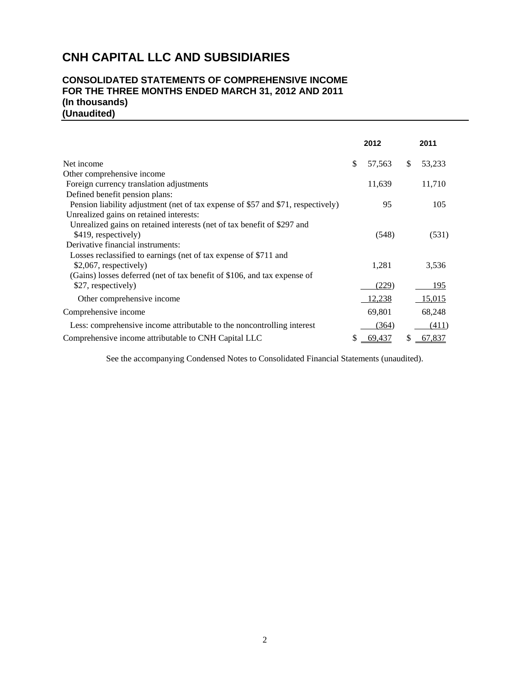## **CONSOLIDATED STATEMENTS OF COMPREHENSIVE INCOME FOR THE THREE MONTHS ENDED MARCH 31, 2012 AND 2011 (In thousands) (Unaudited)**

|                                                                                  | 2012          | 2011          |
|----------------------------------------------------------------------------------|---------------|---------------|
| Net income                                                                       | \$<br>57,563  | \$<br>53,233  |
| Other comprehensive income                                                       |               |               |
| Foreign currency translation adjustments                                         | 11,639        | 11,710        |
| Defined benefit pension plans:                                                   |               |               |
| Pension liability adjustment (net of tax expense of \$57 and \$71, respectively) | 95            | 105           |
| Unrealized gains on retained interests:                                          |               |               |
| Unrealized gains on retained interests (net of tax benefit of \$297 and          |               |               |
| \$419, respectively)                                                             | (548)         | (531)         |
| Derivative financial instruments:                                                |               |               |
| Losses reclassified to earnings (net of tax expense of \$711 and                 |               |               |
| \$2,067, respectively)                                                           | 1,281         | 3,536         |
| (Gains) losses deferred (net of tax benefit of \$106, and tax expense of         |               |               |
| \$27, respectively)                                                              | (229)         | 195           |
| Other comprehensive income                                                       | <u>12,238</u> | <u>15,015</u> |
| Comprehensive income                                                             | 69,801        | 68,248        |
| Less: comprehensive income attributable to the noncontrolling interest           | (364)         | (411)         |
| Comprehensive income attributable to CNH Capital LLC                             | 69,437        | \$<br>67,837  |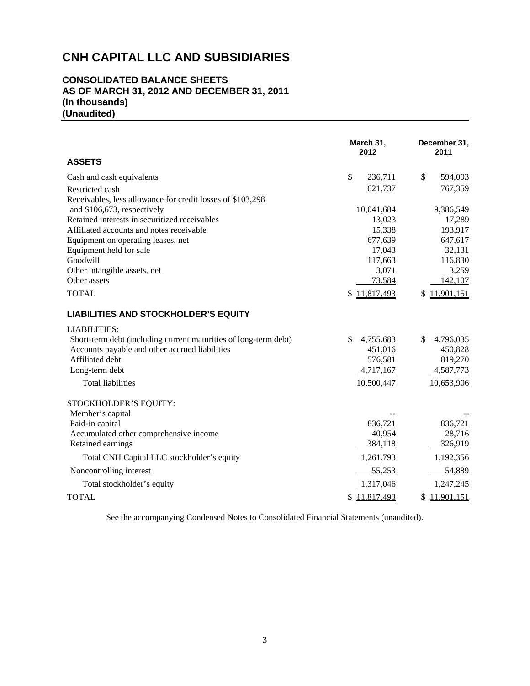## **CONSOLIDATED BALANCE SHEETS AS OF MARCH 31, 2012 AND DECEMBER 31, 2011 (In thousands) (Unaudited)**

| <b>ASSETS</b>                                                    | March 31,<br>2012 | December 31,<br>2011 |
|------------------------------------------------------------------|-------------------|----------------------|
| Cash and cash equivalents                                        | \$<br>236,711     | \$<br>594,093        |
| Restricted cash                                                  | 621,737           | 767,359              |
| Receivables, less allowance for credit losses of \$103,298       |                   |                      |
| and \$106,673, respectively                                      | 10,041,684        | 9,386,549            |
| Retained interests in securitized receivables                    | 13,023            | 17,289               |
| Affiliated accounts and notes receivable                         | 15,338            | 193,917              |
| Equipment on operating leases, net                               | 677,639           | 647,617              |
| Equipment held for sale                                          | 17,043            | 32,131               |
| Goodwill                                                         | 117,663           | 116,830              |
| Other intangible assets, net                                     | 3,071             | 3,259                |
| Other assets                                                     | 73,584            | 142,107              |
| <b>TOTAL</b>                                                     | 11,817,493<br>\$  | \$11,901,151         |
| <b>LIABILITIES AND STOCKHOLDER'S EQUITY</b>                      |                   |                      |
| <b>LIABILITIES:</b>                                              |                   |                      |
| Short-term debt (including current maturities of long-term debt) | \$<br>4,755,683   | \$<br>4,796,035      |
| Accounts payable and other accrued liabilities                   | 451,016           | 450,828              |
| Affiliated debt                                                  | 576,581           | 819,270              |
| Long-term debt                                                   | 4,717,167         | 4,587,773            |
| <b>Total liabilities</b>                                         | 10,500,447        | 10,653,906           |
| STOCKHOLDER'S EQUITY:                                            |                   |                      |
| Member's capital                                                 |                   |                      |
| Paid-in capital                                                  | 836,721           | 836,721              |
| Accumulated other comprehensive income                           | 40,954            | 28,716               |
| Retained earnings                                                | 384,118           | 326,919              |
| Total CNH Capital LLC stockholder's equity                       | 1,261,793         | 1,192,356            |
| Noncontrolling interest                                          | 55,253            | 54,889               |
| Total stockholder's equity                                       | 1,317,046         | 1,247,245            |
| <b>TOTAL</b>                                                     | \$11,817,493      | \$11,901,151         |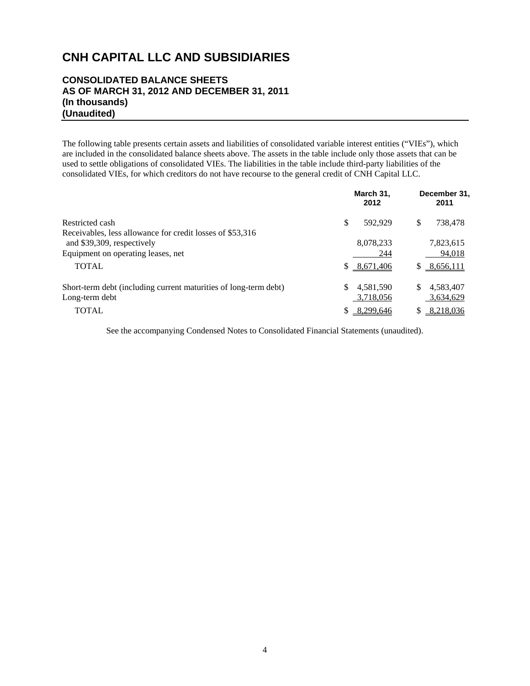## **CONSOLIDATED BALANCE SHEETS AS OF MARCH 31, 2012 AND DECEMBER 31, 2011 (In thousands) (Unaudited)**

The following table presents certain assets and liabilities of consolidated variable interest entities ("VIEs"), which are included in the consolidated balance sheets above. The assets in the table include only those assets that can be used to settle obligations of consolidated VIEs. The liabilities in the table include third-party liabilities of the consolidated VIEs, for which creditors do not have recourse to the general credit of CNH Capital LLC.

|                                                                  | March 31,<br>2012 | December 31.<br>2011 |
|------------------------------------------------------------------|-------------------|----------------------|
| Restricted cash                                                  | \$.<br>592,929    | \$<br>738,478        |
| Receivables, less allowance for credit losses of \$53,316        |                   |                      |
| and \$39,309, respectively                                       | 8,078,233         | 7,823,615            |
| Equipment on operating leases, net                               | 244               | 94,018               |
| <b>TOTAL</b>                                                     | \$8,671,406       | 8,656,111<br>S.      |
| Short-term debt (including current maturities of long-term debt) | 4,581,590<br>\$.  | 4,583,407<br>\$      |
| Long-term debt                                                   | 3,718,056         | 3,634,629            |
| <b>TOTAL</b>                                                     | 8,299,646         | 8,218,036<br>S       |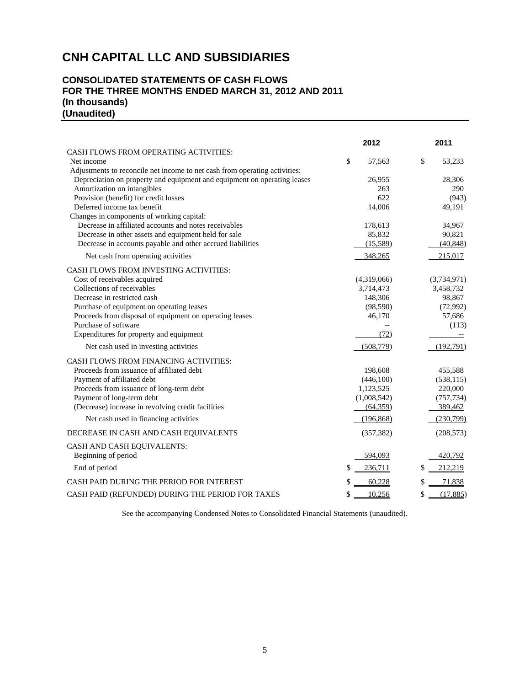## **CONSOLIDATED STATEMENTS OF CASH FLOWS FOR THE THREE MONTHS ENDED MARCH 31, 2012 AND 2011 (In thousands) (Unaudited)**

|                                                                            | 2012          | 2011           |
|----------------------------------------------------------------------------|---------------|----------------|
| CASH FLOWS FROM OPERATING ACTIVITIES:                                      |               |                |
| Net income                                                                 | \$<br>57,563  | \$<br>53,233   |
| Adjustments to reconcile net income to net cash from operating activities: |               |                |
| Depreciation on property and equipment and equipment on operating leases   | 26,955        | 28,306         |
| Amortization on intangibles                                                | 263           | 290            |
| Provision (benefit) for credit losses                                      | 622           | (943)          |
| Deferred income tax benefit                                                | 14,006        | 49,191         |
| Changes in components of working capital:                                  |               |                |
| Decrease in affiliated accounts and notes receivables                      | 178,613       | 34,967         |
| Decrease in other assets and equipment held for sale                       | 85,832        | 90,821         |
| Decrease in accounts payable and other accrued liabilities                 | (15,589)      | (40, 848)      |
| Net cash from operating activities                                         | 348,265       | 215,017        |
| <b>CASH FLOWS FROM INVESTING ACTIVITIES:</b>                               |               |                |
| Cost of receivables acquired                                               | (4,319,066)   | (3,734,971)    |
| Collections of receivables                                                 | 3,714,473     | 3,458,732      |
| Decrease in restricted cash                                                | 148,306       | 98,867         |
| Purchase of equipment on operating leases                                  | (98, 590)     | (72,992)       |
| Proceeds from disposal of equipment on operating leases                    | 46,170        | 57,686         |
| Purchase of software                                                       |               | (113)          |
| Expenditures for property and equipment                                    | (72)          |                |
| Net cash used in investing activities                                      | (508, 779)    | (192,791)      |
| CASH FLOWS FROM FINANCING ACTIVITIES:                                      |               |                |
| Proceeds from issuance of affiliated debt                                  | 198,608       | 455,588        |
| Payment of affiliated debt                                                 | (446,100)     | (538, 115)     |
| Proceeds from issuance of long-term debt                                   | 1,123,525     | 220,000        |
| Payment of long-term debt                                                  | (1,008,542)   | (757, 734)     |
| (Decrease) increase in revolving credit facilities                         | (64, 359)     | 389,462        |
| Net cash used in financing activities                                      | (196, 868)    | (230,799)      |
| DECREASE IN CASH AND CASH EQUIVALENTS                                      | (357, 382)    | (208, 573)     |
| CASH AND CASH EQUIVALENTS:                                                 |               |                |
| Beginning of period                                                        | 594,093       | 420,792        |
| End of period                                                              | \$<br>236,711 | 212,219<br>\$  |
| CASH PAID DURING THE PERIOD FOR INTEREST                                   | 60,228<br>\$  | 71,838<br>\$   |
| CASH PAID (REFUNDED) DURING THE PERIOD FOR TAXES                           | \$<br>10,256  | \$<br>(17,885) |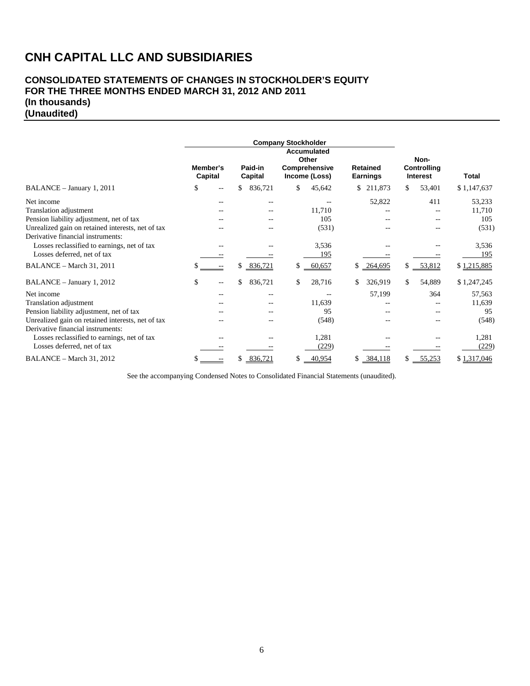## **CONSOLIDATED STATEMENTS OF CHANGES IN STOCKHOLDER'S EQUITY FOR THE THREE MONTHS ENDED MARCH 31, 2012 AND 2011 (In thousands) (Unaudited)**

|                                                   | <b>Company Stockholder</b> |                     |    |                    |    |                                                               |    |                                    |     |                                               |              |
|---------------------------------------------------|----------------------------|---------------------|----|--------------------|----|---------------------------------------------------------------|----|------------------------------------|-----|-----------------------------------------------|--------------|
|                                                   |                            | Member's<br>Capital |    | Paid-in<br>Capital |    | <b>Accumulated</b><br>Other<br>Comprehensive<br>Income (Loss) |    | <b>Retained</b><br><b>Earnings</b> |     | Non-<br><b>Controlling</b><br><b>Interest</b> | <b>Total</b> |
| BALANCE - January 1, 2011                         | \$                         |                     | \$ | 836,721            | \$ | 45,642                                                        | \$ | 211,873                            | S.  | 53,401                                        | \$1,147,637  |
| Net income                                        |                            | --                  |    | --                 |    |                                                               |    | 52,822                             |     | 411                                           | 53,233       |
| Translation adjustment                            |                            |                     |    |                    |    | 11,710                                                        |    |                                    |     |                                               | 11,710       |
| Pension liability adjustment, net of tax          |                            |                     |    |                    |    | 105                                                           |    |                                    |     |                                               | 105          |
| Unrealized gain on retained interests, net of tax |                            |                     |    |                    |    | (531)                                                         |    |                                    |     |                                               | (531)        |
| Derivative financial instruments:                 |                            |                     |    |                    |    |                                                               |    |                                    |     |                                               |              |
| Losses reclassified to earnings, net of tax       |                            |                     |    |                    |    | 3,536                                                         |    |                                    |     |                                               | 3,536        |
| Losses deferred, net of tax                       |                            |                     |    |                    |    | 195                                                           |    |                                    |     |                                               | 195          |
| BALANCE - March 31, 2011                          |                            |                     | \$ | 836,721            | \$ | 60,657                                                        | \$ | 264,695                            | S.  | 53,812                                        | \$1,215,885  |
| BALANCE - January 1, 2012                         | \$                         |                     | \$ | 836,721            | \$ | 28,716                                                        |    | 326,919                            | \$. | 54,889                                        | \$1,247,245  |
| Net income                                        |                            |                     |    | --                 |    |                                                               |    | 57,199                             |     | 364                                           | 57,563       |
| Translation adjustment                            |                            |                     |    |                    |    | 11,639                                                        |    |                                    |     |                                               | 11,639       |
| Pension liability adjustment, net of tax          |                            |                     |    |                    |    | 95                                                            |    |                                    |     |                                               | 95           |
| Unrealized gain on retained interests, net of tax |                            |                     |    |                    |    | (548)                                                         |    |                                    |     |                                               | (548)        |
| Derivative financial instruments:                 |                            |                     |    |                    |    |                                                               |    |                                    |     |                                               |              |
| Losses reclassified to earnings, net of tax       |                            |                     |    |                    |    | 1,281                                                         |    |                                    |     |                                               | 1,281        |
| Losses deferred, net of tax                       |                            |                     |    |                    |    | (229)                                                         |    |                                    |     |                                               | (229)        |
| BALANCE - March 31, 2012                          |                            |                     | \$ | 836,721            | \$ | 40,954                                                        | \$ | 384,118                            |     | 55,253                                        | \$1,317,046  |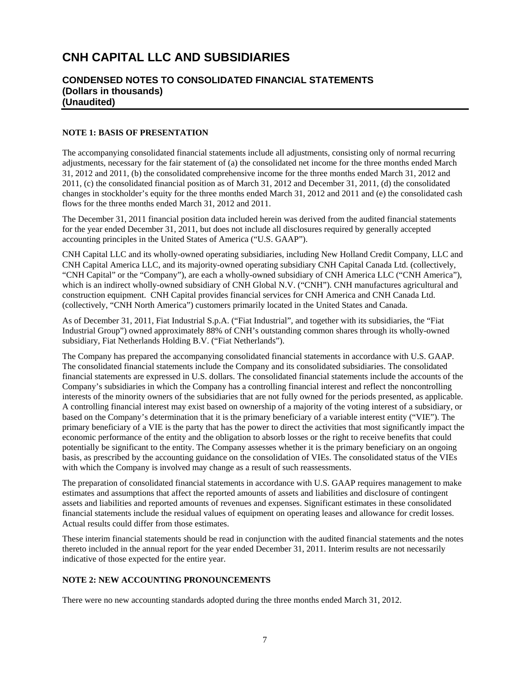## **CONDENSED NOTES TO CONSOLIDATED FINANCIAL STATEMENTS (Dollars in thousands) (Unaudited)**

### **NOTE 1: BASIS OF PRESENTATION**

The accompanying consolidated financial statements include all adjustments, consisting only of normal recurring adjustments, necessary for the fair statement of (a) the consolidated net income for the three months ended March 31, 2012 and 2011, (b) the consolidated comprehensive income for the three months ended March 31, 2012 and 2011, (c) the consolidated financial position as of March 31, 2012 and December 31, 2011, (d) the consolidated changes in stockholder's equity for the three months ended March 31, 2012 and 2011 and (e) the consolidated cash flows for the three months ended March 31, 2012 and 2011.

The December 31, 2011 financial position data included herein was derived from the audited financial statements for the year ended December 31, 2011, but does not include all disclosures required by generally accepted accounting principles in the United States of America ("U.S. GAAP").

CNH Capital LLC and its wholly-owned operating subsidiaries, including New Holland Credit Company, LLC and CNH Capital America LLC, and its majority-owned operating subsidiary CNH Capital Canada Ltd. (collectively, "CNH Capital" or the "Company"), are each a wholly-owned subsidiary of CNH America LLC ("CNH America"), which is an indirect wholly-owned subsidiary of CNH Global N.V. ("CNH"). CNH manufactures agricultural and construction equipment. CNH Capital provides financial services for CNH America and CNH Canada Ltd. (collectively, "CNH North America") customers primarily located in the United States and Canada.

As of December 31, 2011, Fiat Industrial S.p.A. ("Fiat Industrial", and together with its subsidiaries, the "Fiat Industrial Group") owned approximately 88% of CNH's outstanding common shares through its wholly-owned subsidiary, Fiat Netherlands Holding B.V. ("Fiat Netherlands").

The Company has prepared the accompanying consolidated financial statements in accordance with U.S. GAAP. The consolidated financial statements include the Company and its consolidated subsidiaries. The consolidated financial statements are expressed in U.S. dollars. The consolidated financial statements include the accounts of the Company's subsidiaries in which the Company has a controlling financial interest and reflect the noncontrolling interests of the minority owners of the subsidiaries that are not fully owned for the periods presented, as applicable. A controlling financial interest may exist based on ownership of a majority of the voting interest of a subsidiary, or based on the Company's determination that it is the primary beneficiary of a variable interest entity ("VIE"). The primary beneficiary of a VIE is the party that has the power to direct the activities that most significantly impact the economic performance of the entity and the obligation to absorb losses or the right to receive benefits that could potentially be significant to the entity. The Company assesses whether it is the primary beneficiary on an ongoing basis, as prescribed by the accounting guidance on the consolidation of VIEs. The consolidated status of the VIEs with which the Company is involved may change as a result of such reassessments.

The preparation of consolidated financial statements in accordance with U.S. GAAP requires management to make estimates and assumptions that affect the reported amounts of assets and liabilities and disclosure of contingent assets and liabilities and reported amounts of revenues and expenses. Significant estimates in these consolidated financial statements include the residual values of equipment on operating leases and allowance for credit losses. Actual results could differ from those estimates.

These interim financial statements should be read in conjunction with the audited financial statements and the notes thereto included in the annual report for the year ended December 31, 2011. Interim results are not necessarily indicative of those expected for the entire year.

#### **NOTE 2: NEW ACCOUNTING PRONOUNCEMENTS**

There were no new accounting standards adopted during the three months ended March 31, 2012.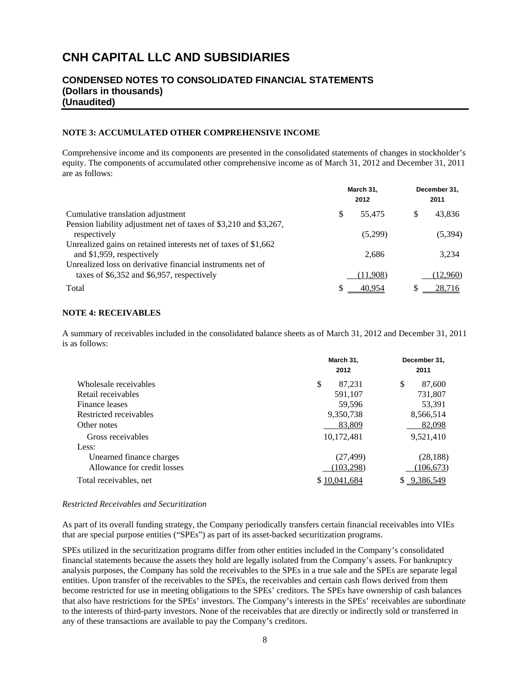## **CONDENSED NOTES TO CONSOLIDATED FINANCIAL STATEMENTS (Dollars in thousands) (Unaudited)**

#### **NOTE 3: ACCUMULATED OTHER COMPREHENSIVE INCOME**

Comprehensive income and its components are presented in the consolidated statements of changes in stockholder's equity. The components of accumulated other comprehensive income as of March 31, 2012 and December 31, 2011 are as follows:

| Cumulative translation adjustment                                                                           |   | March 31,<br>2012 | December 31,<br>2011 |          |  |
|-------------------------------------------------------------------------------------------------------------|---|-------------------|----------------------|----------|--|
|                                                                                                             | S | 55.475            | S                    | 43,836   |  |
| Pension liability adjustment net of taxes of \$3,210 and \$3,267,<br>respectively                           |   | (5,299)           |                      | (5,394)  |  |
| Unrealized gains on retained interests net of taxes of \$1,662<br>and \$1,959, respectively                 |   | 2.686             |                      | 3.234    |  |
| Unrealized loss on derivative financial instruments net of<br>taxes of $$6,352$ and $$6,957$ , respectively |   | (11,908)          |                      | (12,960) |  |
| Total                                                                                                       |   | 40.954            | S                    | 28,716   |  |

#### **NOTE 4: RECEIVABLES**

A summary of receivables included in the consolidated balance sheets as of March 31, 2012 and December 31, 2011 is as follows:

|                             | March 31,    | December 31, |
|-----------------------------|--------------|--------------|
|                             | 2012         | 2011         |
| Wholesale receivables       | \$<br>87.231 | \$<br>87,600 |
| Retail receivables          | 591,107      | 731,807      |
| Finance leases              | 59,596       | 53,391       |
| Restricted receivables      | 9,350,738    | 8,566,514    |
| Other notes                 | 83,809       | 82,098       |
| Gross receivables           | 10,172,481   | 9,521,410    |
| Less:                       |              |              |
| Unearned finance charges    | (27, 499)    | (28, 188)    |
| Allowance for credit losses | (103, 298)   | (106, 673)   |
| Total receivables, net      | \$10.041.684 | 9,386,549    |

#### *Restricted Receivables and Securitization*

As part of its overall funding strategy, the Company periodically transfers certain financial receivables into VIEs that are special purpose entities ("SPEs") as part of its asset-backed securitization programs.

SPEs utilized in the securitization programs differ from other entities included in the Company's consolidated financial statements because the assets they hold are legally isolated from the Company's assets. For bankruptcy analysis purposes, the Company has sold the receivables to the SPEs in a true sale and the SPEs are separate legal entities. Upon transfer of the receivables to the SPEs, the receivables and certain cash flows derived from them become restricted for use in meeting obligations to the SPEs' creditors. The SPEs have ownership of cash balances that also have restrictions for the SPEs' investors. The Company's interests in the SPEs' receivables are subordinate to the interests of third-party investors. None of the receivables that are directly or indirectly sold or transferred in any of these transactions are available to pay the Company's creditors.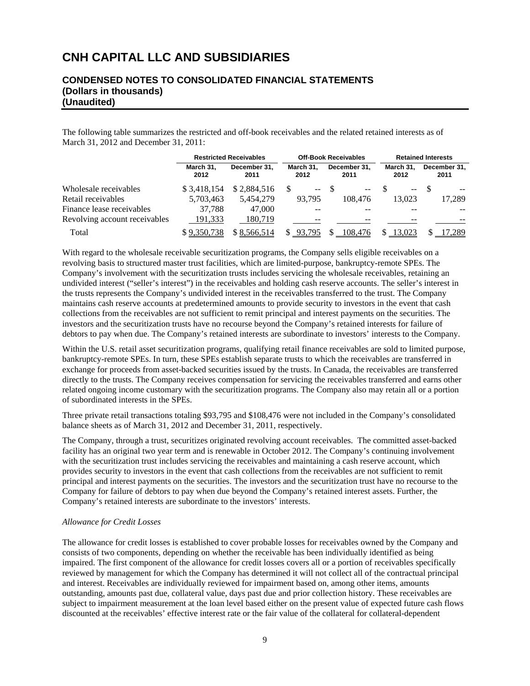## **CONDENSED NOTES TO CONSOLIDATED FINANCIAL STATEMENTS (Dollars in thousands) (Unaudited)**

The following table summarizes the restricted and off-book receivables and the related retained interests as of March 31, 2012 and December 31, 2011:

|                               |                   | <b>Restricted Receivables</b> |        | <b>Off-Book Receivables</b> | <b>Retained Interests</b> |                      |  |  |
|-------------------------------|-------------------|-------------------------------|--------|-----------------------------|---------------------------|----------------------|--|--|
|                               | March 31.<br>2012 | December 31.<br>2011          |        | December 31.<br>2011        | March 31.<br>2012         | December 31,<br>2011 |  |  |
| Wholesale receivables         | \$3,418,154       | \$2,884,516                   | $--$   | $-$                         | $\overline{\phantom{a}}$  |                      |  |  |
| Retail receivables            | 5.703.463         | 5,454,279                     | 93.795 | 108.476                     | 13.023                    | 17,289               |  |  |
| Finance lease receivables     | 37.788            | 47,000                        |        |                             |                           |                      |  |  |
| Revolving account receivables | 191,333           | 180.719                       |        | --                          | --                        |                      |  |  |
| Total                         | \$9,350,738       | \$8.566.514                   | 93,795 | 108,476                     | 13,023                    | ',289                |  |  |

With regard to the wholesale receivable securitization programs, the Company sells eligible receivables on a revolving basis to structured master trust facilities, which are limited-purpose, bankruptcy-remote SPEs. The Company's involvement with the securitization trusts includes servicing the wholesale receivables, retaining an undivided interest ("seller's interest") in the receivables and holding cash reserve accounts. The seller's interest in the trusts represents the Company's undivided interest in the receivables transferred to the trust. The Company maintains cash reserve accounts at predetermined amounts to provide security to investors in the event that cash collections from the receivables are not sufficient to remit principal and interest payments on the securities. The investors and the securitization trusts have no recourse beyond the Company's retained interests for failure of debtors to pay when due. The Company's retained interests are subordinate to investors' interests to the Company.

Within the U.S. retail asset securitization programs, qualifying retail finance receivables are sold to limited purpose, bankruptcy-remote SPEs. In turn, these SPEs establish separate trusts to which the receivables are transferred in exchange for proceeds from asset-backed securities issued by the trusts. In Canada, the receivables are transferred directly to the trusts. The Company receives compensation for servicing the receivables transferred and earns other related ongoing income customary with the securitization programs. The Company also may retain all or a portion of subordinated interests in the SPEs.

Three private retail transactions totaling \$93,795 and \$108,476 were not included in the Company's consolidated balance sheets as of March 31, 2012 and December 31, 2011, respectively.

The Company, through a trust, securitizes originated revolving account receivables. The committed asset-backed facility has an original two year term and is renewable in October 2012. The Company's continuing involvement with the securitization trust includes servicing the receivables and maintaining a cash reserve account, which provides security to investors in the event that cash collections from the receivables are not sufficient to remit principal and interest payments on the securities. The investors and the securitization trust have no recourse to the Company for failure of debtors to pay when due beyond the Company's retained interest assets. Further, the Company's retained interests are subordinate to the investors' interests.

## *Allowance for Credit Losses*

The allowance for credit losses is established to cover probable losses for receivables owned by the Company and consists of two components, depending on whether the receivable has been individually identified as being impaired. The first component of the allowance for credit losses covers all or a portion of receivables specifically reviewed by management for which the Company has determined it will not collect all of the contractual principal and interest. Receivables are individually reviewed for impairment based on, among other items, amounts outstanding, amounts past due, collateral value, days past due and prior collection history. These receivables are subject to impairment measurement at the loan level based either on the present value of expected future cash flows discounted at the receivables' effective interest rate or the fair value of the collateral for collateral-dependent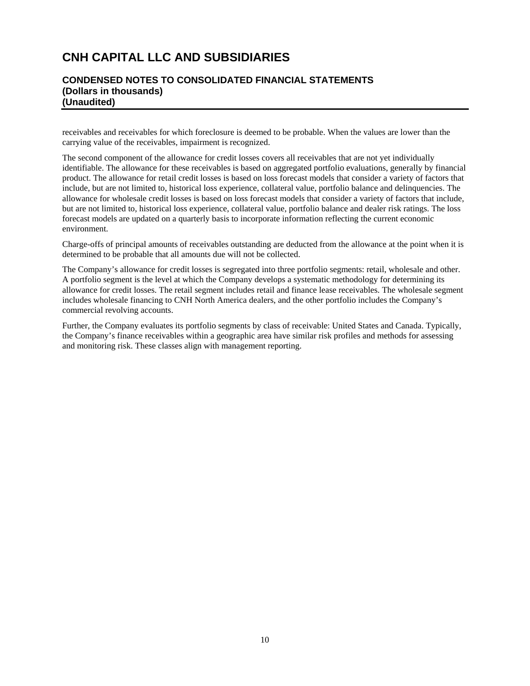## **CONDENSED NOTES TO CONSOLIDATED FINANCIAL STATEMENTS (Dollars in thousands) (Unaudited)**

receivables and receivables for which foreclosure is deemed to be probable. When the values are lower than the carrying value of the receivables, impairment is recognized.

The second component of the allowance for credit losses covers all receivables that are not yet individually identifiable. The allowance for these receivables is based on aggregated portfolio evaluations, generally by financial product. The allowance for retail credit losses is based on loss forecast models that consider a variety of factors that include, but are not limited to, historical loss experience, collateral value, portfolio balance and delinquencies. The allowance for wholesale credit losses is based on loss forecast models that consider a variety of factors that include, but are not limited to, historical loss experience, collateral value, portfolio balance and dealer risk ratings. The loss forecast models are updated on a quarterly basis to incorporate information reflecting the current economic environment.

Charge-offs of principal amounts of receivables outstanding are deducted from the allowance at the point when it is determined to be probable that all amounts due will not be collected.

The Company's allowance for credit losses is segregated into three portfolio segments: retail, wholesale and other. A portfolio segment is the level at which the Company develops a systematic methodology for determining its allowance for credit losses. The retail segment includes retail and finance lease receivables. The wholesale segment includes wholesale financing to CNH North America dealers, and the other portfolio includes the Company's commercial revolving accounts.

Further, the Company evaluates its portfolio segments by class of receivable: United States and Canada. Typically, the Company's finance receivables within a geographic area have similar risk profiles and methods for assessing and monitoring risk. These classes align with management reporting.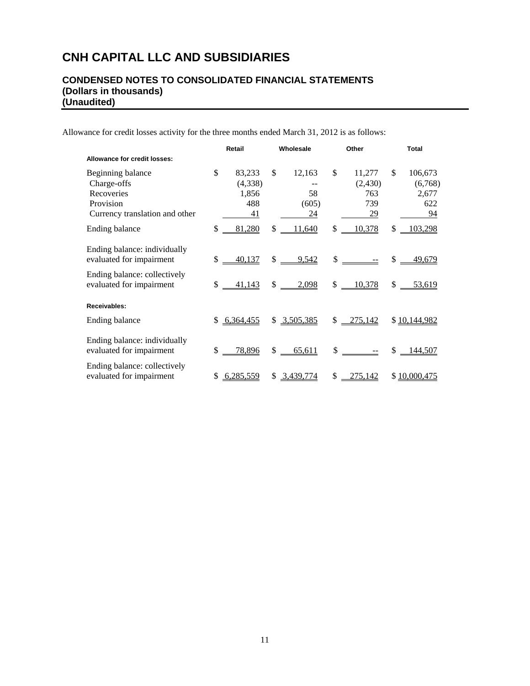## **CONDENSED NOTES TO CONSOLIDATED FINANCIAL STATEMENTS (Dollars in thousands) (Unaudited)**

Allowance for credit losses activity for the three months ended March 31, 2012 is as follows:

|                                                          |               | Retail             | Wholesale    |                        | Other                                                   | Total |                    |
|----------------------------------------------------------|---------------|--------------------|--------------|------------------------|---------------------------------------------------------|-------|--------------------|
| Allowance for credit losses:                             |               |                    |              |                        |                                                         |       |                    |
| Beginning balance<br>Charge-offs<br>Recoveries           | $\mathcal{S}$ | 83,233<br>(4,338)  | \$           | 12,163<br>58           | \$<br>11,277<br>(2,430)                                 | \$    | 106,673<br>(6,768) |
| Provision<br>Currency translation and other              |               | 1,856<br>488<br>41 |              | (605)<br>24            | 763<br>739<br><u>29</u>                                 |       | 2,677<br>622<br>94 |
| Ending balance                                           | \$            | 81,280             | \$           | 11,640                 | \$<br>10,378                                            | \$    | 103,298            |
| Ending balance: individually<br>evaluated for impairment | \$            | 40,137             |              | $\frac{\$}{\$}$ 9,542  | $\frac{\text{S}}{\text{S}}$ $\frac{\text{S}}{\text{S}}$ |       | $$ -49,679$        |
| Ending balance: collectively<br>evaluated for impairment | \$            | 41,143             |              | $\frac{1}{2}$<br>2,098 | \$<br>10,378                                            | \$    | 53,619             |
| Receivables:                                             |               |                    |              |                        |                                                         |       |                    |
| Ending balance                                           | \$            | 6,364,455          |              | \$3,505,385            | $$ -275,142$                                            |       | \$10,144,982       |
| Ending balance: individually<br>evaluated for impairment | \$            | <u>78,896</u>      | $\mathsf{S}$ | 65,611                 | $\mathbb{S}$                                            | \$    | <u>144,507</u>     |
| Ending balance: collectively<br>evaluated for impairment | \$            | 6,285,559          | \$.          | 3,439,774              | \$<br>275,142                                           |       | \$10,000,475       |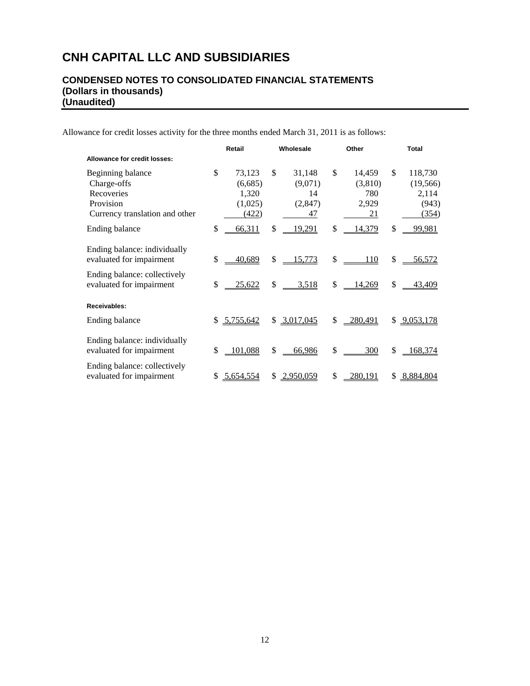## **CONDENSED NOTES TO CONSOLIDATED FINANCIAL STATEMENTS (Dollars in thousands) (Unaudited)**

Allowance for credit losses activity for the three months ended March 31, 2011 is as follows:

|                                                                                                                      | Retail        |                                                |          | Wholesale                                |          | Other                                   |          | <b>Total</b>                                    |
|----------------------------------------------------------------------------------------------------------------------|---------------|------------------------------------------------|----------|------------------------------------------|----------|-----------------------------------------|----------|-------------------------------------------------|
| Allowance for credit losses:                                                                                         |               |                                                |          |                                          |          |                                         |          |                                                 |
| Beginning balance<br>Charge-offs<br>Recoveries<br>Provision<br>Currency translation and other                        | \$            | 73,123<br>(6,685)<br>1,320<br>(1,025)<br>(422) | \$       | 31,148<br>(9,071)<br>14<br>(2,847)<br>47 | \$       | 14,459<br>(3,810)<br>780<br>2,929<br>21 | \$       | 118,730<br>(19, 566)<br>2,114<br>(943)<br>(354) |
| Ending balance                                                                                                       | $\mathsf{\$}$ | 66,311                                         | \$       | <u>19,291</u>                            | \$       | 14,379                                  | \$       | <u>99,981</u>                                   |
| Ending balance: individually<br>evaluated for impairment<br>Ending balance: collectively<br>evaluated for impairment | \$<br>\$      | 40,689<br>25,622                               | \$<br>\$ | 15,773<br>3,518                          | \$<br>\$ | 110<br>14,269                           | \$<br>\$ | <u>56,572</u><br>43,409                         |
| Receivables:                                                                                                         |               |                                                |          |                                          |          |                                         |          |                                                 |
| Ending balance                                                                                                       | \$.           | 5,755,642                                      |          | \$3,017,045                              | \$       | $-280,491$                              | \$       | 9,053,178                                       |
| Ending balance: individually<br>evaluated for impairment                                                             | \$            | 101,088                                        | \$       | 66,986                                   | \$       | 300                                     | \$       | 168,374                                         |
| Ending balance: collectively<br>evaluated for impairment                                                             | \$            | 5,654,554                                      | S        | 2,950,059                                | \$       | 280,191                                 | \$       | 8,884,804                                       |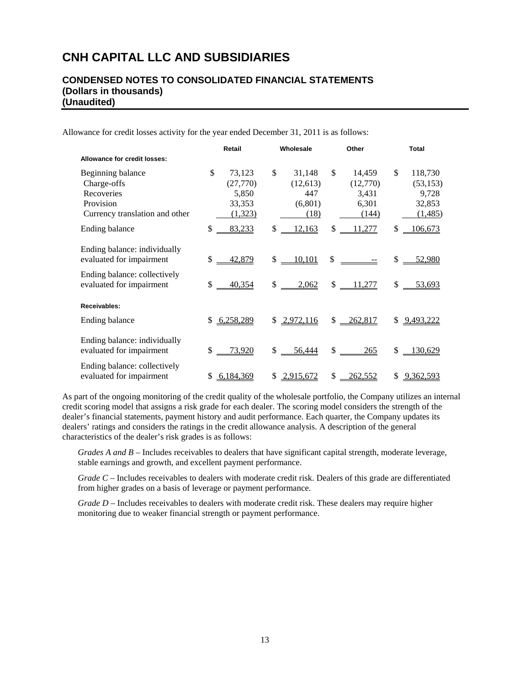## **CONDENSED NOTES TO CONSOLIDATED FINANCIAL STATEMENTS (Dollars in thousands) (Unaudited)**

Allowance for credit losses activity for the year ended December 31, 2011 is as follows:

|                                                                                               | Retail                                                 | Wholesale                                          | Other                                               | <b>Total</b>                                             |
|-----------------------------------------------------------------------------------------------|--------------------------------------------------------|----------------------------------------------------|-----------------------------------------------------|----------------------------------------------------------|
| Allowance for credit losses:                                                                  |                                                        |                                                    |                                                     |                                                          |
| Beginning balance<br>Charge-offs<br>Recoveries<br>Provision<br>Currency translation and other | \$<br>73,123<br>(27,770)<br>5,850<br>33,353<br>(1,323) | \$<br>31,148<br>(12,613)<br>447<br>(6,801)<br>(18) | \$<br>14,459<br>(12,770)<br>3,431<br>6,301<br>(144) | \$<br>118,730<br>(53, 153)<br>9,728<br>32,853<br>(1,485) |
| Ending balance                                                                                | \$<br>83,233                                           | \$<br>12,163                                       | \$<br>11,277                                        | \$<br>106,673                                            |
| Ending balance: individually<br>evaluated for impairment<br>Ending balance: collectively      | $$ -42,879$                                            | $$ -10,101$                                        | $\frac{\text{S}}{\text{S}}$                         | $$ -52,980$                                              |
| evaluated for impairment                                                                      | \$<br>40,354                                           | $\frac{1}{2}$<br>2,062                             | \$11,277                                            | \$<br>53,693                                             |
| Receivables:                                                                                  |                                                        |                                                    |                                                     |                                                          |
| Ending balance                                                                                | \$6,258,289                                            | \$2,972,116                                        | $$ -262,817$                                        | \$ 9,493,222                                             |
| Ending balance: individually<br>evaluated for impairment                                      | \$<br>73,920                                           | $$ -56,444$                                        | $\frac{\text{S}}{\text{S}}$<br><u>265</u>           | \$<br>130,629                                            |
| Ending balance: collectively<br>evaluated for impairment                                      | \$6,184,369                                            | \$2,915,672                                        | \$<br>262,552                                       | \$9,362,593                                              |

As part of the ongoing monitoring of the credit quality of the wholesale portfolio, the Company utilizes an internal credit scoring model that assigns a risk grade for each dealer. The scoring model considers the strength of the dealer's financial statements, payment history and audit performance. Each quarter, the Company updates its dealers' ratings and considers the ratings in the credit allowance analysis. A description of the general characteristics of the dealer's risk grades is as follows:

*Grades A and B* – Includes receivables to dealers that have significant capital strength, moderate leverage, stable earnings and growth, and excellent payment performance.

*Grade C* – Includes receivables to dealers with moderate credit risk. Dealers of this grade are differentiated from higher grades on a basis of leverage or payment performance.

*Grade D* – Includes receivables to dealers with moderate credit risk. These dealers may require higher monitoring due to weaker financial strength or payment performance.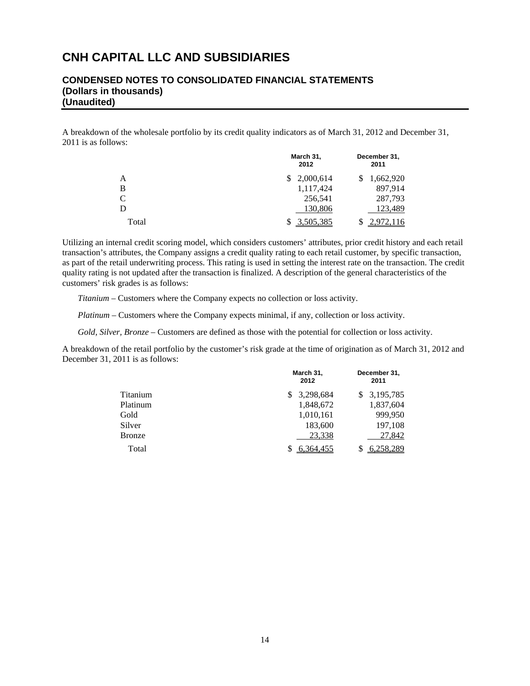## **CONDENSED NOTES TO CONSOLIDATED FINANCIAL STATEMENTS (Dollars in thousands) (Unaudited)**

A breakdown of the wholesale portfolio by its credit quality indicators as of March 31, 2012 and December 31, 2011 is as follows:

|       | March 31,<br>2012 | December 31,<br>2011 |
|-------|-------------------|----------------------|
| A     | 2,000,614         | 1,662,920            |
| B     | 1,117,424         | 897,914              |
| C     | 256,541           | 287,793              |
| D     | 130,806           | 123,489              |
| Total | 3,505,385         | 2,972,116            |

Utilizing an internal credit scoring model, which considers customers' attributes, prior credit history and each retail transaction's attributes, the Company assigns a credit quality rating to each retail customer, by specific transaction, as part of the retail underwriting process. This rating is used in setting the interest rate on the transaction. The credit quality rating is not updated after the transaction is finalized. A description of the general characteristics of the customers' risk grades is as follows:

*Titanium* – Customers where the Company expects no collection or loss activity.

*Platinum* – Customers where the Company expects minimal, if any, collection or loss activity.

*Gold, Silver, Bronze* – Customers are defined as those with the potential for collection or loss activity.

A breakdown of the retail portfolio by the customer's risk grade at the time of origination as of March 31, 2012 and December 31, 2011 is as follows:

|               | March 31,<br>2012 | December 31,<br>2011 |
|---------------|-------------------|----------------------|
| Titanium      | 3,298,684<br>S.   | \$3,195,785          |
| Platinum      | 1,848,672         | 1,837,604            |
| Gold          | 1,010,161         | 999.950              |
| Silver        | 183,600           | 197,108              |
| <b>Bronze</b> | 23,338            | 27,842               |
| Total         | 6.364.455         | 6,258,289            |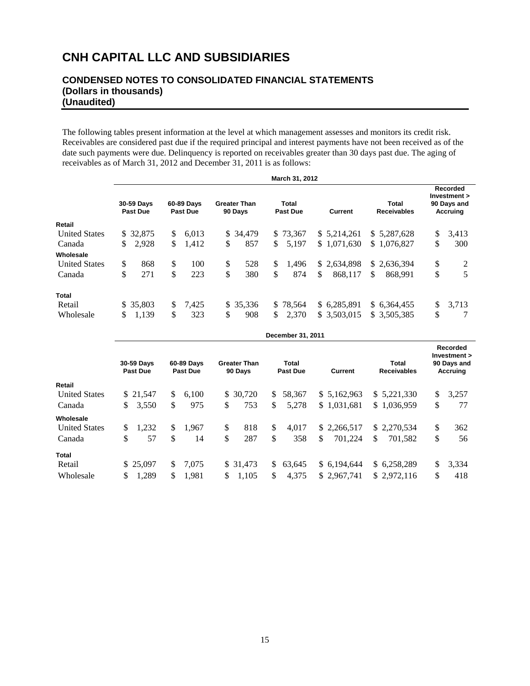# **CONDENSED NOTES TO CONSOLIDATED FINANCIAL STATEMENTS (Dollars in thousands) (Unaudited)**

The following tables present information at the level at which management assesses and monitors its credit risk. Receivables are considered past due if the required principal and interest payments have not been received as of the date such payments were due. Delinquency is reported on receivables greater than 30 days past due. The aging of receivables as of March 31, 2012 and December 31, 2011 is as follows:

|                      |                                                                |           |    |                                                                              |    |           |     | March 31, 2012 |    |                             |                                                                   |    |       |
|----------------------|----------------------------------------------------------------|-----------|----|------------------------------------------------------------------------------|----|-----------|-----|----------------|----|-----------------------------|-------------------------------------------------------------------|----|-------|
|                      | 30-59 Days<br>60-89 Days<br><b>Past Due</b><br><b>Past Due</b> |           |    | Total<br><b>Greater Than</b><br>90 Days<br><b>Past Due</b><br><b>Current</b> |    |           |     |                |    | Total<br><b>Receivables</b> | <b>Recorded</b><br>Investment ><br>90 Days and<br><b>Accruing</b> |    |       |
| Retail               |                                                                |           |    |                                                                              |    |           |     |                |    |                             |                                                                   |    |       |
| <b>United States</b> |                                                                | \$ 32,875 | \$ | 6,013                                                                        |    | \$ 34,479 |     | \$73,367       |    | \$ 5.214.261                | \$ 5,287,628                                                      | \$ | 3,413 |
| Canada               | \$                                                             | 2,928     | \$ | 1,412                                                                        | \$ | 857       | \$  | 5,197          |    | \$1,071,630                 | \$1,076,827                                                       | \$ | 300   |
| Wholesale            |                                                                |           |    |                                                                              |    |           |     |                |    |                             |                                                                   |    |       |
| <b>United States</b> | \$                                                             | 868       | \$ | 100                                                                          | \$ | 528       | \$. | 1.496          |    | \$2,634,898                 | \$2,636,394                                                       | \$ | 2     |
| Canada               | \$                                                             | 271       | \$ | 223                                                                          | \$ | 380       | \$  | 874            | \$ | 868.117                     | \$<br>868.991                                                     | \$ | 5     |
| Total                |                                                                |           |    |                                                                              |    |           |     |                |    |                             |                                                                   |    |       |
| Retail               |                                                                | \$ 35,803 | \$ | 7.425                                                                        |    | \$35,336  |     | \$78,564       |    | \$ 6.285.891                | \$ 6,364,455                                                      | \$ | 3.713 |
| Wholesale            | S.                                                             | 1.139     | \$ | 323                                                                          | \$ | 908       | \$. | 2,370          |    | \$ 3,503,015                | \$ 3,505,385                                                      | \$ |       |

|                      | 30-59 Days<br>60-89 Days<br>Past Due<br>Past Due |               | <b>Greater Than</b><br>Total<br>90 Days<br><b>Past Due</b> |    |           | Current      |        |    | Total<br><b>Receivables</b> | Recorded<br>Investment ><br>90 Days and<br><b>Accruing</b> |             |    |       |
|----------------------|--------------------------------------------------|---------------|------------------------------------------------------------|----|-----------|--------------|--------|----|-----------------------------|------------------------------------------------------------|-------------|----|-------|
| Retail               |                                                  |               |                                                            |    |           |              |        |    |                             |                                                            |             |    |       |
| <b>United States</b> | \$ 21,547                                        | <sup>\$</sup> | 6,100                                                      |    | \$ 30,720 | <sup>S</sup> | 58,367 |    | \$5,162,963                 |                                                            | \$5,221,330 | \$ | 3,257 |
| Canada               | \$<br>3,550                                      | \$            | 975                                                        | \$ | 753       | \$           | 5,278  |    | \$1,031,681                 |                                                            | \$1,036,959 | \$ | 77    |
| Wholesale            |                                                  |               |                                                            |    |           |              |        |    |                             |                                                            |             |    |       |
| <b>United States</b> | \$<br>1.232                                      | \$            | 1.967                                                      | \$ | 818       | \$.          | 4.017  |    | \$2,266,517                 |                                                            | \$2,270,534 | \$ | 362   |
| Canada               | \$<br>57                                         | \$            | 14                                                         | \$ | 287       | \$           | 358    | \$ | 701.224                     | \$                                                         | 701.582     | \$ | 56    |
| Total                |                                                  |               |                                                            |    |           |              |        |    |                             |                                                            |             |    |       |
| Retail               | \$25,097                                         | \$            | 7.075                                                      |    | \$ 31.473 | S.           | 63.645 |    | \$ 6.194,644                |                                                            | \$6,258,289 | \$ | 3,334 |
| Wholesale            | \$<br>1,289                                      | S.            | 1.981                                                      | \$ | 1,105     | \$           | 4,375  |    | \$2,967,741                 |                                                            | \$2,972,116 | \$ | 418   |

 **December 31, 2011**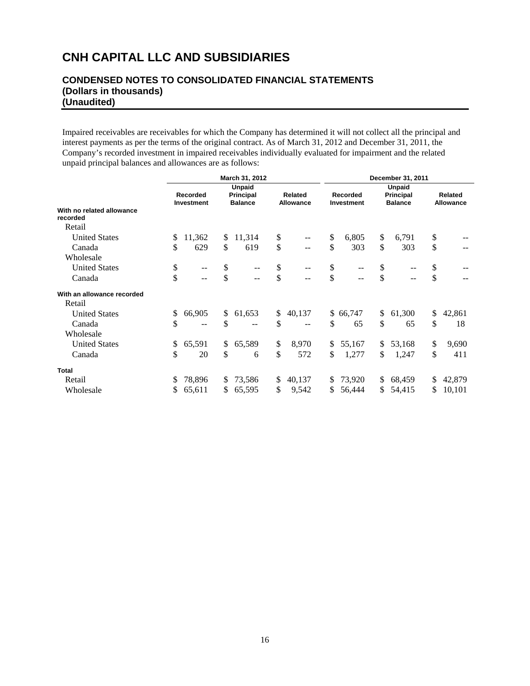## **CONDENSED NOTES TO CONSOLIDATED FINANCIAL STATEMENTS (Dollars in thousands) (Unaudited)**

Impaired receivables are receivables for which the Company has determined it will not collect all the principal and interest payments as per the terms of the original contract. As of March 31, 2012 and December 31, 2011, the Company's recorded investment in impaired receivables individually evaluated for impairment and the related unpaid principal balances and allowances are as follows:

|                                       |                               |              | March 31, 2012                                      |    | December 31, 2011                             |                               |          |                                              |                             |    |        |
|---------------------------------------|-------------------------------|--------------|-----------------------------------------------------|----|-----------------------------------------------|-------------------------------|----------|----------------------------------------------|-----------------------------|----|--------|
|                                       | <b>Recorded</b><br>Investment |              | <b>Unpaid</b><br><b>Principal</b><br><b>Balance</b> |    | Related<br><b>Allowance</b>                   | <b>Recorded</b><br>Investment |          | <b>Unpaid</b><br>Principal<br><b>Balance</b> | Related<br><b>Allowance</b> |    |        |
| With no related allowance<br>recorded |                               |              |                                                     |    |                                               |                               |          |                                              |                             |    |        |
| Retail                                |                               |              |                                                     |    |                                               |                               |          |                                              |                             |    |        |
| <b>United States</b>                  | \$<br>11,362                  | \$           | 11,314                                              | \$ | $\mathord{\hspace{1pt}\text{--}\hspace{1pt}}$ | \$                            | 6,805    | \$                                           | 6,791                       | \$ |        |
| Canada                                | \$<br>629                     | \$           | 619                                                 | \$ | --                                            | $\mathbb{S}$                  | 303      | \$                                           | 303                         | \$ |        |
| Wholesale                             |                               |              |                                                     |    |                                               |                               |          |                                              |                             |    |        |
| <b>United States</b>                  | \$<br>$- -$                   | \$           | --                                                  | \$ | $- -$                                         | \$                            |          | \$                                           | --                          | \$ |        |
| Canada                                | \$<br>$-$                     | \$           | --                                                  | \$ |                                               | \$                            |          | \$                                           | $-$                         | \$ |        |
| With an allowance recorded            |                               |              |                                                     |    |                                               |                               |          |                                              |                             |    |        |
| Retail                                |                               |              |                                                     |    |                                               |                               |          |                                              |                             |    |        |
| <b>United States</b>                  | \$<br>66,905                  | $\mathbb{S}$ | 61,653                                              | \$ | 40,137                                        |                               | \$66,747 | \$                                           | 61,300                      | \$ | 42,861 |
| Canada                                | \$<br>$- -$                   | \$           |                                                     | \$ |                                               | \$                            | 65       | \$                                           | 65                          | \$ | 18     |
| Wholesale                             |                               |              |                                                     |    |                                               |                               |          |                                              |                             |    |        |
| <b>United States</b>                  | \$<br>65,591                  | \$           | 65,589                                              | \$ | 8,970                                         | \$                            | 55,167   | \$                                           | 53,168                      | \$ | 9,690  |
| Canada                                | \$<br>20                      | \$           | 6                                                   | \$ | 572                                           | \$                            | 1,277    | \$                                           | 1,247                       | \$ | 411    |
| <b>Total</b>                          |                               |              |                                                     |    |                                               |                               |          |                                              |                             |    |        |
| Retail                                | \$<br>78,896                  | \$           | 73,586                                              | \$ | 40,137                                        | S.                            | 73,920   | \$                                           | 68,459                      | \$ | 42,879 |
| Wholesale                             | \$<br>65,611                  | \$           | 65,595                                              | \$ | 9,542                                         | \$                            | 56,444   | \$                                           | 54,415                      | \$ | 10,101 |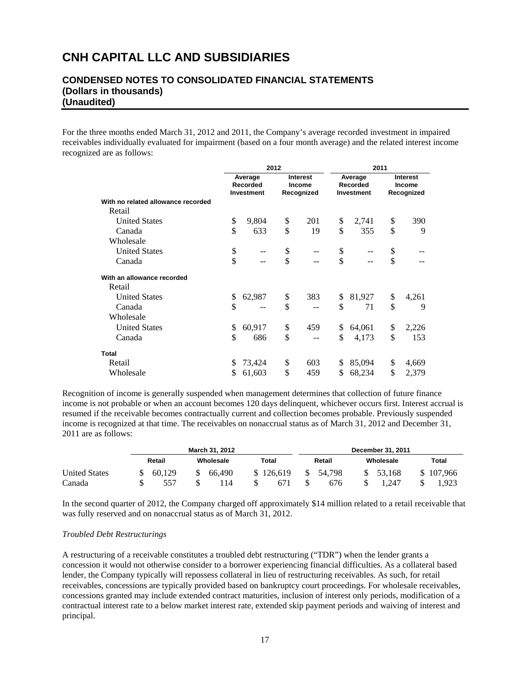## **CONDENSED NOTES TO CONSOLIDATED FINANCIAL STATEMENTS (Dollars in thousands) (Unaudited)**

For the three months ended March 31, 2012 and 2011, the Company's average recorded investment in impaired receivables individually evaluated for impairment (based on a four month average) and the related interest income recognized are as follows:

|                                    |                                          | 2012 |                                                | 2011                              |    |                                         |  |  |
|------------------------------------|------------------------------------------|------|------------------------------------------------|-----------------------------------|----|-----------------------------------------|--|--|
|                                    | Average<br>Recorded<br><b>Investment</b> |      | <b>Interest</b><br><b>Income</b><br>Recognized | Average<br>Recorded<br>Investment |    | <b>Interest</b><br>Income<br>Recognized |  |  |
| With no related allowance recorded |                                          |      |                                                |                                   |    |                                         |  |  |
| Retail                             |                                          |      |                                                |                                   |    |                                         |  |  |
| <b>United States</b>               | \$<br>9,804                              | \$   | 201                                            | \$<br>2,741                       | \$ | 390                                     |  |  |
| Canada                             | \$<br>633                                | \$   | 19                                             | \$<br>355                         | \$ | 9                                       |  |  |
| Wholesale                          |                                          |      |                                                |                                   |    |                                         |  |  |
| <b>United States</b>               | \$                                       | \$   |                                                | \$                                | \$ |                                         |  |  |
| Canada                             | \$<br>$-$                                | \$   | --                                             | \$<br>$\qquad \qquad -$           | \$ |                                         |  |  |
| With an allowance recorded         |                                          |      |                                                |                                   |    |                                         |  |  |
| Retail                             |                                          |      |                                                |                                   |    |                                         |  |  |
| <b>United States</b>               | \$<br>62,987                             | \$   | 383                                            | \$<br>81,927                      | \$ | 4,261                                   |  |  |
| Canada                             | \$                                       | \$   |                                                | \$<br>71                          | \$ | 9                                       |  |  |
| Wholesale                          |                                          |      |                                                |                                   |    |                                         |  |  |
| <b>United States</b>               | \$<br>60,917                             | \$   | 459                                            | \$<br>64,061                      | \$ | 2,226                                   |  |  |
| Canada                             | \$<br>686                                | \$   |                                                | \$<br>4,173                       | \$ | 153                                     |  |  |
| <b>Total</b>                       |                                          |      |                                                |                                   |    |                                         |  |  |
| Retail                             | \$<br>73,424                             | \$   | 603                                            | \$<br>85,094                      | \$ | 4,669                                   |  |  |
| Wholesale                          | \$<br>61,603                             | \$   | 459                                            | \$<br>68,234                      | \$ | 2,379                                   |  |  |

Recognition of income is generally suspended when management determines that collection of future finance income is not probable or when an account becomes 120 days delinquent, whichever occurs first. Interest accrual is resumed if the receivable becomes contractually current and collection becomes probable. Previously suspended income is recognized at that time. The receivables on nonaccrual status as of March 31, 2012 and December 31, 2011 are as follows:

|                      |        |           | March 31, 2012 |       |           |        | December 31, 2011 |  |           |       |           |  |  |  |
|----------------------|--------|-----------|----------------|-------|-----------|--------|-------------------|--|-----------|-------|-----------|--|--|--|
|                      | Retail | Wholesale |                | Total |           | Retail |                   |  | Wholesale | Total |           |  |  |  |
| <b>United States</b> | 60.129 |           | 66.490         |       | \$126,619 | \$     | 54.798            |  | 53.168    |       | \$107.966 |  |  |  |
| Canada               | 557    |           | ' 14           |       | 671       |        | 676               |  | 1.247     |       | 1.923     |  |  |  |

In the second quarter of 2012, the Company charged off approximately \$14 million related to a retail receivable that was fully reserved and on nonaccrual status as of March 31, 2012.

#### *Troubled Debt Restructurings*

A restructuring of a receivable constitutes a troubled debt restructuring ("TDR") when the lender grants a concession it would not otherwise consider to a borrower experiencing financial difficulties. As a collateral based lender, the Company typically will repossess collateral in lieu of restructuring receivables. As such, for retail receivables, concessions are typically provided based on bankruptcy court proceedings. For wholesale receivables, concessions granted may include extended contract maturities, inclusion of interest only periods, modification of a contractual interest rate to a below market interest rate, extended skip payment periods and waiving of interest and principal.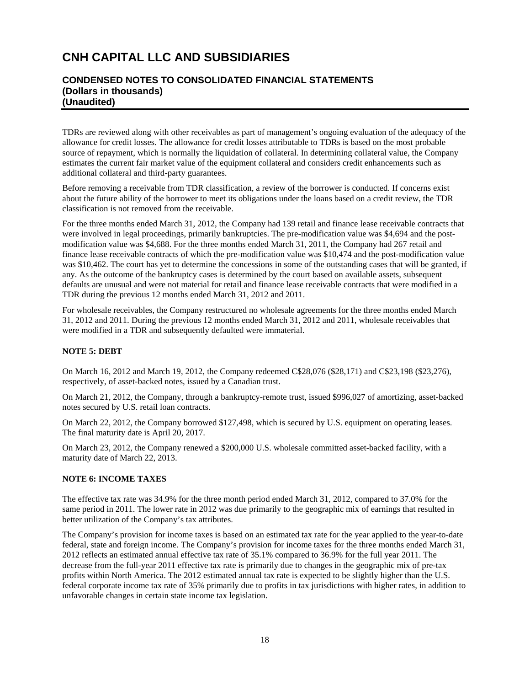## **CONDENSED NOTES TO CONSOLIDATED FINANCIAL STATEMENTS (Dollars in thousands) (Unaudited)**

TDRs are reviewed along with other receivables as part of management's ongoing evaluation of the adequacy of the allowance for credit losses. The allowance for credit losses attributable to TDRs is based on the most probable source of repayment, which is normally the liquidation of collateral. In determining collateral value, the Company estimates the current fair market value of the equipment collateral and considers credit enhancements such as additional collateral and third-party guarantees.

Before removing a receivable from TDR classification, a review of the borrower is conducted. If concerns exist about the future ability of the borrower to meet its obligations under the loans based on a credit review, the TDR classification is not removed from the receivable.

For the three months ended March 31, 2012, the Company had 139 retail and finance lease receivable contracts that were involved in legal proceedings, primarily bankruptcies. The pre-modification value was \$4,694 and the postmodification value was \$4,688. For the three months ended March 31, 2011, the Company had 267 retail and finance lease receivable contracts of which the pre-modification value was \$10,474 and the post-modification value was \$10,462. The court has yet to determine the concessions in some of the outstanding cases that will be granted, if any. As the outcome of the bankruptcy cases is determined by the court based on available assets, subsequent defaults are unusual and were not material for retail and finance lease receivable contracts that were modified in a TDR during the previous 12 months ended March 31, 2012 and 2011.

For wholesale receivables, the Company restructured no wholesale agreements for the three months ended March 31, 2012 and 2011. During the previous 12 months ended March 31, 2012 and 2011, wholesale receivables that were modified in a TDR and subsequently defaulted were immaterial.

## **NOTE 5: DEBT**

On March 16, 2012 and March 19, 2012, the Company redeemed C\$28,076 (\$28,171) and C\$23,198 (\$23,276), respectively, of asset-backed notes, issued by a Canadian trust.

On March 21, 2012, the Company, through a bankruptcy-remote trust, issued \$996,027 of amortizing, asset-backed notes secured by U.S. retail loan contracts.

On March 22, 2012, the Company borrowed \$127,498, which is secured by U.S. equipment on operating leases. The final maturity date is April 20, 2017.

On March 23, 2012, the Company renewed a \$200,000 U.S. wholesale committed asset-backed facility, with a maturity date of March 22, 2013.

#### **NOTE 6: INCOME TAXES**

The effective tax rate was 34.9% for the three month period ended March 31, 2012, compared to 37.0% for the same period in 2011. The lower rate in 2012 was due primarily to the geographic mix of earnings that resulted in better utilization of the Company's tax attributes.

The Company's provision for income taxes is based on an estimated tax rate for the year applied to the year-to-date federal, state and foreign income. The Company's provision for income taxes for the three months ended March 31, 2012 reflects an estimated annual effective tax rate of 35.1% compared to 36.9% for the full year 2011. The decrease from the full-year 2011 effective tax rate is primarily due to changes in the geographic mix of pre-tax profits within North America. The 2012 estimated annual tax rate is expected to be slightly higher than the U.S. federal corporate income tax rate of 35% primarily due to profits in tax jurisdictions with higher rates, in addition to unfavorable changes in certain state income tax legislation.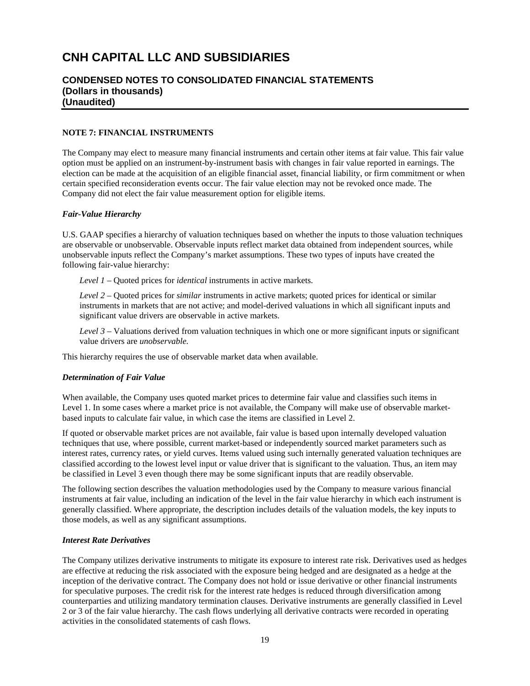## **CONDENSED NOTES TO CONSOLIDATED FINANCIAL STATEMENTS (Dollars in thousands) (Unaudited)**

#### **NOTE 7: FINANCIAL INSTRUMENTS**

The Company may elect to measure many financial instruments and certain other items at fair value. This fair value option must be applied on an instrument-by-instrument basis with changes in fair value reported in earnings. The election can be made at the acquisition of an eligible financial asset, financial liability, or firm commitment or when certain specified reconsideration events occur. The fair value election may not be revoked once made. The Company did not elect the fair value measurement option for eligible items.

### *Fair-Value Hierarchy*

U.S. GAAP specifies a hierarchy of valuation techniques based on whether the inputs to those valuation techniques are observable or unobservable. Observable inputs reflect market data obtained from independent sources, while unobservable inputs reflect the Company's market assumptions. These two types of inputs have created the following fair-value hierarchy:

*Level 1* – Quoted prices for *identical* instruments in active markets.

*Level 2* – Quoted prices for *similar* instruments in active markets; quoted prices for identical or similar instruments in markets that are not active; and model-derived valuations in which all significant inputs and significant value drivers are observable in active markets.

*Level 3* – Valuations derived from valuation techniques in which one or more significant inputs or significant value drivers are *unobservable.* 

This hierarchy requires the use of observable market data when available.

#### *Determination of Fair Value*

When available, the Company uses quoted market prices to determine fair value and classifies such items in Level 1. In some cases where a market price is not available, the Company will make use of observable marketbased inputs to calculate fair value, in which case the items are classified in Level 2.

If quoted or observable market prices are not available, fair value is based upon internally developed valuation techniques that use, where possible, current market-based or independently sourced market parameters such as interest rates, currency rates, or yield curves. Items valued using such internally generated valuation techniques are classified according to the lowest level input or value driver that is significant to the valuation. Thus, an item may be classified in Level 3 even though there may be some significant inputs that are readily observable.

The following section describes the valuation methodologies used by the Company to measure various financial instruments at fair value, including an indication of the level in the fair value hierarchy in which each instrument is generally classified. Where appropriate, the description includes details of the valuation models, the key inputs to those models, as well as any significant assumptions.

#### *Interest Rate Derivatives*

The Company utilizes derivative instruments to mitigate its exposure to interest rate risk. Derivatives used as hedges are effective at reducing the risk associated with the exposure being hedged and are designated as a hedge at the inception of the derivative contract. The Company does not hold or issue derivative or other financial instruments for speculative purposes. The credit risk for the interest rate hedges is reduced through diversification among counterparties and utilizing mandatory termination clauses. Derivative instruments are generally classified in Level 2 or 3 of the fair value hierarchy. The cash flows underlying all derivative contracts were recorded in operating activities in the consolidated statements of cash flows.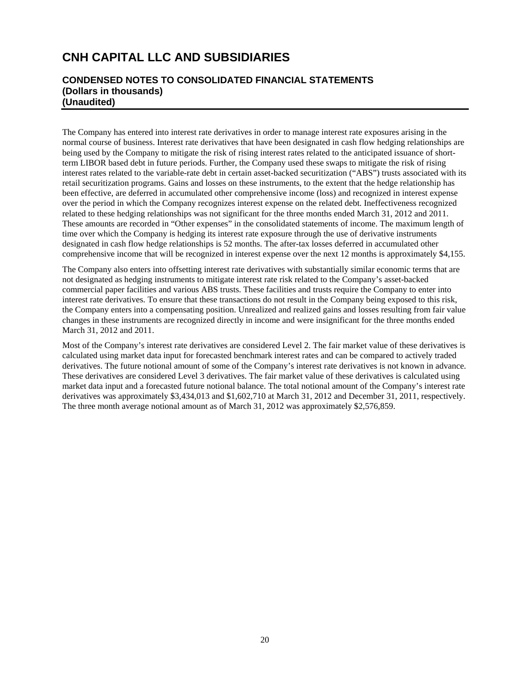## **CONDENSED NOTES TO CONSOLIDATED FINANCIAL STATEMENTS (Dollars in thousands) (Unaudited)**

The Company has entered into interest rate derivatives in order to manage interest rate exposures arising in the normal course of business. Interest rate derivatives that have been designated in cash flow hedging relationships are being used by the Company to mitigate the risk of rising interest rates related to the anticipated issuance of shortterm LIBOR based debt in future periods. Further, the Company used these swaps to mitigate the risk of rising interest rates related to the variable-rate debt in certain asset-backed securitization ("ABS") trusts associated with its retail securitization programs. Gains and losses on these instruments, to the extent that the hedge relationship has been effective, are deferred in accumulated other comprehensive income (loss) and recognized in interest expense over the period in which the Company recognizes interest expense on the related debt. Ineffectiveness recognized related to these hedging relationships was not significant for the three months ended March 31, 2012 and 2011. These amounts are recorded in "Other expenses" in the consolidated statements of income. The maximum length of time over which the Company is hedging its interest rate exposure through the use of derivative instruments designated in cash flow hedge relationships is 52 months. The after-tax losses deferred in accumulated other comprehensive income that will be recognized in interest expense over the next 12 months is approximately \$4,155.

The Company also enters into offsetting interest rate derivatives with substantially similar economic terms that are not designated as hedging instruments to mitigate interest rate risk related to the Company's asset-backed commercial paper facilities and various ABS trusts. These facilities and trusts require the Company to enter into interest rate derivatives. To ensure that these transactions do not result in the Company being exposed to this risk, the Company enters into a compensating position. Unrealized and realized gains and losses resulting from fair value changes in these instruments are recognized directly in income and were insignificant for the three months ended March 31, 2012 and 2011.

Most of the Company's interest rate derivatives are considered Level 2. The fair market value of these derivatives is calculated using market data input for forecasted benchmark interest rates and can be compared to actively traded derivatives. The future notional amount of some of the Company's interest rate derivatives is not known in advance. These derivatives are considered Level 3 derivatives. The fair market value of these derivatives is calculated using market data input and a forecasted future notional balance. The total notional amount of the Company's interest rate derivatives was approximately \$3,434,013 and \$1,602,710 at March 31, 2012 and December 31, 2011, respectively. The three month average notional amount as of March 31, 2012 was approximately \$2,576,859.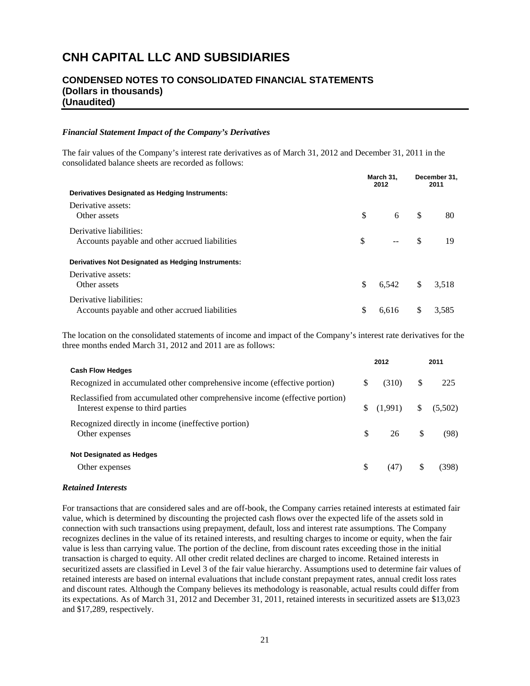## **CONDENSED NOTES TO CONSOLIDATED FINANCIAL STATEMENTS (Dollars in thousands) (Unaudited)**

#### *Financial Statement Impact of the Company's Derivatives*

The fair values of the Company's interest rate derivatives as of March 31, 2012 and December 31, 2011 in the consolidated balance sheets are recorded as follows:

| Derivatives Designated as Hedging Instruments:                            |              | March 31,<br>2012 |               | December 31,<br>2011 |  |
|---------------------------------------------------------------------------|--------------|-------------------|---------------|----------------------|--|
| Derivative assets:                                                        |              |                   |               |                      |  |
| Other assets                                                              | $\mathbb{S}$ | 6                 | <sup>\$</sup> | 80                   |  |
| Derivative liabilities:<br>Accounts payable and other accrued liabilities | S            | $-$               | S             | 19                   |  |
| Derivatives Not Designated as Hedging Instruments:                        |              |                   |               |                      |  |
| Derivative assets:<br>Other assets                                        | \$.          | 6.542             | <sup>S</sup>  | 3.518                |  |
| Derivative liabilities:<br>Accounts payable and other accrued liabilities | \$           | 6.616             | \$            | 3.585                |  |

The location on the consolidated statements of income and impact of the Company's interest rate derivatives for the three months ended March 31, 2012 and 2011 are as follows:

|                                                                                                                   |   | 2012                            |              | 2011  |
|-------------------------------------------------------------------------------------------------------------------|---|---------------------------------|--------------|-------|
| <b>Cash Flow Hedges</b>                                                                                           |   |                                 |              |       |
| Recognized in accumulated other comprehensive income (effective portion)                                          | S | (310)                           | <sup>S</sup> | 225   |
| Reclassified from accumulated other comprehensive income (effective portion)<br>Interest expense to third parties |   | $\{(1,991) \quad \{(5,502)\}\}$ |              |       |
| Recognized directly in income (ineffective portion)<br>Other expenses                                             |   | $\mathbb{S}$<br>26 \$           |              | (98)  |
| <b>Not Designated as Hedges</b>                                                                                   |   |                                 |              |       |
| Other expenses                                                                                                    | S | (47)                            | -S           | (398) |

#### *Retained Interests*

For transactions that are considered sales and are off-book, the Company carries retained interests at estimated fair value, which is determined by discounting the projected cash flows over the expected life of the assets sold in connection with such transactions using prepayment, default, loss and interest rate assumptions. The Company recognizes declines in the value of its retained interests, and resulting charges to income or equity, when the fair value is less than carrying value. The portion of the decline, from discount rates exceeding those in the initial transaction is charged to equity. All other credit related declines are charged to income. Retained interests in securitized assets are classified in Level 3 of the fair value hierarchy. Assumptions used to determine fair values of retained interests are based on internal evaluations that include constant prepayment rates, annual credit loss rates and discount rates. Although the Company believes its methodology is reasonable, actual results could differ from its expectations. As of March 31, 2012 and December 31, 2011, retained interests in securitized assets are \$13,023 and \$17,289, respectively.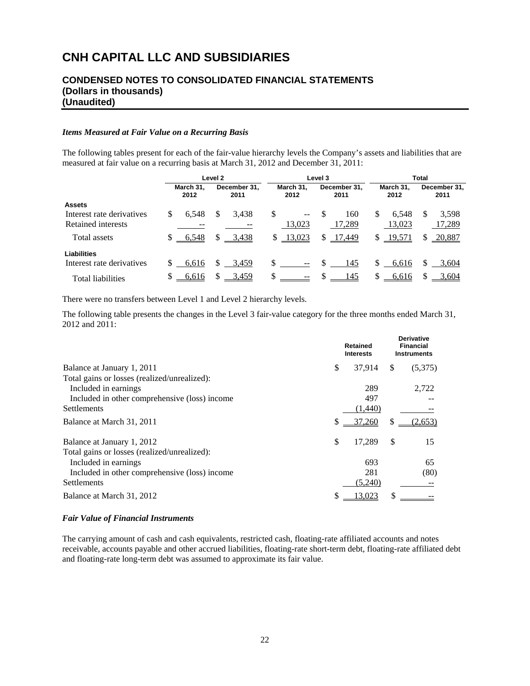## **CONDENSED NOTES TO CONSOLIDATED FINANCIAL STATEMENTS (Dollars in thousands) (Unaudited)**

#### *Items Measured at Fair Value on a Recurring Basis*

The following tables present for each of the fair-value hierarchy levels the Company's assets and liabilities that are measured at fair value on a recurring basis at March 31, 2012 and December 31, 2011:

|                           | Level 2           |       |                      |       |    | Level 3           |          |                      |                   | Total         |                      |        |  |  |
|---------------------------|-------------------|-------|----------------------|-------|----|-------------------|----------|----------------------|-------------------|---------------|----------------------|--------|--|--|
|                           | March 31,<br>2012 |       | December 31.<br>2011 |       |    | March 31,<br>2012 |          | December 31.<br>2011 | March 31.<br>2012 |               | December 31,<br>2011 |        |  |  |
| <b>Assets</b>             |                   |       |                      |       |    |                   |          |                      |                   |               |                      |        |  |  |
| Interest rate derivatives | \$                | 6.548 | S                    | 3.438 | \$ | $ -$              | - \$     | 160                  | \$                | 6.548         | S                    | 3,598  |  |  |
| Retained interests        |                   |       |                      |       |    | 13,023            |          | 17,289               |                   | 13,023        |                      | 17,289 |  |  |
| Total assets              |                   | 6,548 | \$                   | 3,438 | S. | 13,023            | \$       | 17,449               | \$                | <u>19,571</u> | S                    | 20,887 |  |  |
| <b>Liabilities</b>        |                   |       |                      |       |    |                   |          |                      |                   |               |                      |        |  |  |
| Interest rate derivatives |                   | 6,616 | S                    | 3.459 | \$ | $\sim$ $\sim$     | <b>S</b> | 145                  | \$.               | 6,616         | S                    | 3,604  |  |  |
| Total liabilities         |                   | 6,616 |                      | 3,459 | S  |                   |          | 145                  | S                 | 6,616         |                      | 3,604  |  |  |

There were no transfers between Level 1 and Level 2 hierarchy levels.

The following table presents the changes in the Level 3 fair-value category for the three months ended March 31, 2012 and 2011:

|                                               | <b>Retained</b><br><b>Interests</b> |    | <b>Derivative</b><br><b>Financial</b><br><b>Instruments</b> |
|-----------------------------------------------|-------------------------------------|----|-------------------------------------------------------------|
| \$<br>Balance at January 1, 2011              | 37,914                              | \$ | (5,375)                                                     |
| Total gains or losses (realized/unrealized):  |                                     |    |                                                             |
| Included in earnings.                         | 289                                 |    | 2,722                                                       |
| Included in other comprehensive (loss) income | 497                                 |    |                                                             |
| <b>Settlements</b>                            | (1,440)                             |    |                                                             |
| S<br>Balance at March 31, 2011                | 37,260                              | S  | (2,653)                                                     |
| \$<br>Balance at January 1, 2012              | 17,289                              | \$ | 15                                                          |
| Total gains or losses (realized/unrealized):  |                                     |    |                                                             |
| Included in earnings.                         | 693                                 |    | 65                                                          |
| Included in other comprehensive (loss) income | 281                                 |    | (80)                                                        |
| <b>Settlements</b>                            | (5,240)                             |    |                                                             |
| \$<br>Balance at March 31, 2012               | 13.023                              | S  |                                                             |

#### *Fair Value of Financial Instruments*

The carrying amount of cash and cash equivalents, restricted cash, floating-rate affiliated accounts and notes receivable, accounts payable and other accrued liabilities, floating-rate short-term debt, floating-rate affiliated debt and floating-rate long-term debt was assumed to approximate its fair value.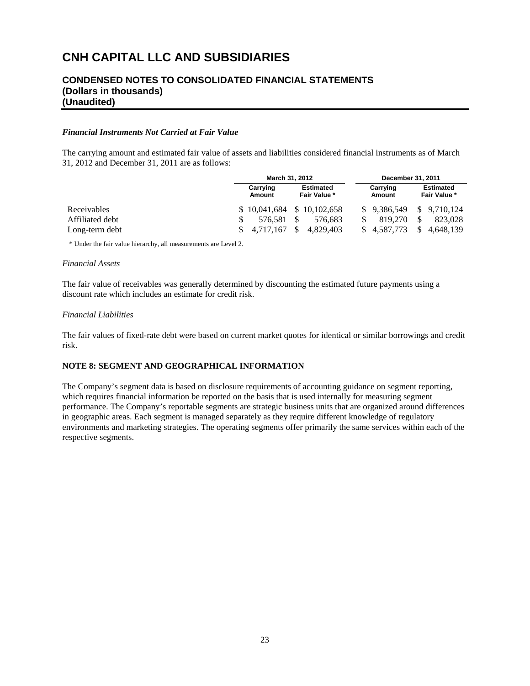## **CONDENSED NOTES TO CONSOLIDATED FINANCIAL STATEMENTS (Dollars in thousands) (Unaudited)**

#### *Financial Instruments Not Carried at Fair Value*

The carrying amount and estimated fair value of assets and liabilities considered financial instruments as of March 31, 2012 and December 31, 2011 are as follows:

|                 |  | March 31, 2012              |      |                                  |                    | December 31, 2011        |                                  |           |  |
|-----------------|--|-----------------------------|------|----------------------------------|--------------------|--------------------------|----------------------------------|-----------|--|
|                 |  | Carrying<br>Amount          |      | <b>Estimated</b><br>Fair Value * | Carrying<br>Amount |                          | <b>Estimated</b><br>Fair Value * |           |  |
| Receivables     |  | $$10,041,684$ $$10,102,658$ |      |                                  |                    | $$9,386,549 \$9,710,124$ |                                  |           |  |
| Affiliated debt |  | 576.581                     | - \$ | 576.683                          |                    | 819,270                  | \$.                              | 823,028   |  |
| Long-term debt  |  | \$ 4.717.167                | \$.  | 4.829.403                        |                    | \$4.587.773              | \$.                              | 4.648.139 |  |

\* Under the fair value hierarchy, all measurements are Level 2.

#### *Financial Assets*

The fair value of receivables was generally determined by discounting the estimated future payments using a discount rate which includes an estimate for credit risk.

#### *Financial Liabilities*

The fair values of fixed-rate debt were based on current market quotes for identical or similar borrowings and credit risk.

## **NOTE 8: SEGMENT AND GEOGRAPHICAL INFORMATION**

The Company's segment data is based on disclosure requirements of accounting guidance on segment reporting, which requires financial information be reported on the basis that is used internally for measuring segment performance. The Company's reportable segments are strategic business units that are organized around differences in geographic areas. Each segment is managed separately as they require different knowledge of regulatory environments and marketing strategies. The operating segments offer primarily the same services within each of the respective segments.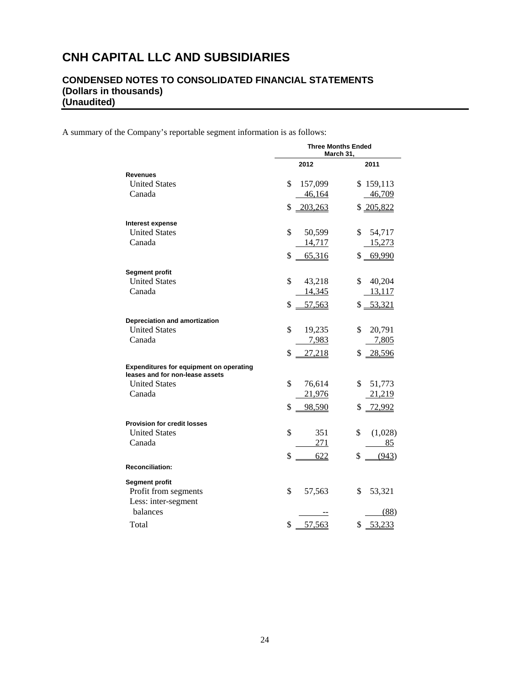# **CONDENSED NOTES TO CONSOLIDATED FINANCIAL STATEMENTS (Dollars in thousands) (Unaudited)**

A summary of the Company's reportable segment information is as follows:

|                                                                                   | <b>Three Months Ended</b><br>March 31. |               |  |  |  |  |
|-----------------------------------------------------------------------------------|----------------------------------------|---------------|--|--|--|--|
|                                                                                   | 2012                                   | 2011          |  |  |  |  |
| <b>Revenues</b>                                                                   |                                        |               |  |  |  |  |
| <b>United States</b>                                                              | \$<br>157,099                          | \$159,113     |  |  |  |  |
| Canada                                                                            | 46,164                                 | 46,709        |  |  |  |  |
|                                                                                   | 203,263<br>\$                          | \$205,822     |  |  |  |  |
| Interest expense                                                                  |                                        |               |  |  |  |  |
| <b>United States</b>                                                              | \$<br>50,599                           | \$<br>54,717  |  |  |  |  |
| Canada                                                                            | 14,717                                 | 15,273        |  |  |  |  |
|                                                                                   | \$<br>65,316                           | 69,990<br>\$  |  |  |  |  |
| <b>Segment profit</b>                                                             |                                        |               |  |  |  |  |
| <b>United States</b>                                                              | \$<br>43,218                           | \$<br>40,204  |  |  |  |  |
| Canada                                                                            | 14,345                                 | 13,117        |  |  |  |  |
|                                                                                   | \$<br>57,563                           | \$ 53,321     |  |  |  |  |
| Depreciation and amortization                                                     |                                        |               |  |  |  |  |
| <b>United States</b>                                                              | \$<br>19,235                           | \$<br>20,791  |  |  |  |  |
| Canada                                                                            | 7,983                                  | 7,805         |  |  |  |  |
|                                                                                   | \$<br>27,218                           | 28,596<br>\$  |  |  |  |  |
| <b>Expenditures for equipment on operating</b><br>leases and for non-lease assets |                                        |               |  |  |  |  |
| <b>United States</b>                                                              | \$<br>76,614                           | \$<br>51,773  |  |  |  |  |
| Canada                                                                            | 21,976                                 | 21,219        |  |  |  |  |
|                                                                                   | \$<br>98,590                           | \$<br>72,992  |  |  |  |  |
| <b>Provision for credit losses</b>                                                |                                        |               |  |  |  |  |
| <b>United States</b>                                                              | \$<br>351                              | \$<br>(1,028) |  |  |  |  |
| Canada                                                                            | 271                                    | <u>85</u>     |  |  |  |  |
|                                                                                   | \$<br>622                              | (943)<br>\$   |  |  |  |  |
| <b>Reconciliation:</b>                                                            |                                        |               |  |  |  |  |
| <b>Segment profit</b>                                                             |                                        |               |  |  |  |  |
| Profit from segments                                                              | \$<br>57,563                           | \$<br>53,321  |  |  |  |  |
| Less: inter-segment                                                               |                                        |               |  |  |  |  |
| balances                                                                          |                                        | (88)          |  |  |  |  |
| Total                                                                             | \$<br>57,563                           | 53,233<br>\$  |  |  |  |  |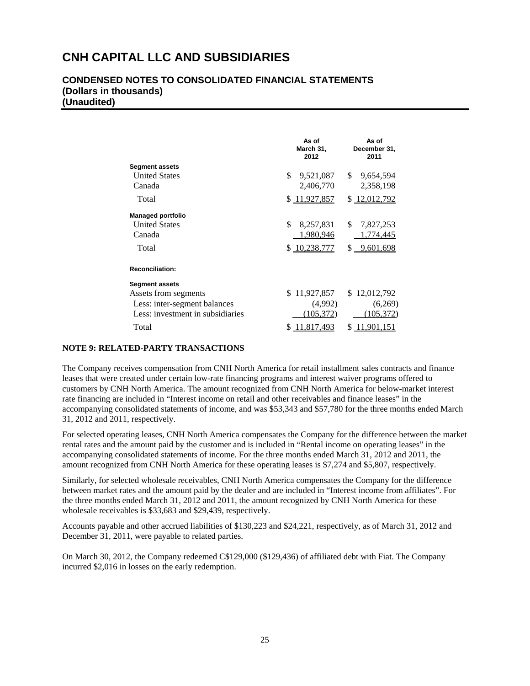## **CONDENSED NOTES TO CONSOLIDATED FINANCIAL STATEMENTS (Dollars in thousands) (Unaudited)**

|                                  | As of<br>March 31,<br>2012 | As of<br>December 31,<br>2011 |
|----------------------------------|----------------------------|-------------------------------|
| <b>Segment assets</b>            |                            |                               |
| <b>United States</b>             | \$<br>9,521,087            | \$.<br>9,654,594              |
| Canada                           | 2,406,770                  | 2,358,198                     |
| Total                            | \$11,927,857               | \$ 12,012,792                 |
| <b>Managed portfolio</b>         |                            |                               |
| <b>United States</b>             | \$<br>8,257,831            | \$.<br>7,827,253              |
| Canada                           | 1,980,946                  | 1,774,445                     |
| Total                            | \$10,238,777               | \$ 9,601,698                  |
| <b>Reconciliation:</b>           |                            |                               |
| <b>Segment assets</b>            |                            |                               |
| Assets from segments             | \$11,927,857               | \$12,012,792                  |
| Less: inter-segment balances     | (4,992)                    | (6,269)                       |
| Less: investment in subsidiaries | (105, 372)                 | (105, 372)                    |
| Total                            | 11,817,493                 | S<br>11,901,151               |

### **NOTE 9: RELATED-PARTY TRANSACTIONS**

The Company receives compensation from CNH North America for retail installment sales contracts and finance leases that were created under certain low-rate financing programs and interest waiver programs offered to customers by CNH North America. The amount recognized from CNH North America for below-market interest rate financing are included in "Interest income on retail and other receivables and finance leases" in the accompanying consolidated statements of income, and was \$53,343 and \$57,780 for the three months ended March 31, 2012 and 2011, respectively.

For selected operating leases, CNH North America compensates the Company for the difference between the market rental rates and the amount paid by the customer and is included in "Rental income on operating leases" in the accompanying consolidated statements of income. For the three months ended March 31, 2012 and 2011, the amount recognized from CNH North America for these operating leases is \$7,274 and \$5,807, respectively.

Similarly, for selected wholesale receivables, CNH North America compensates the Company for the difference between market rates and the amount paid by the dealer and are included in "Interest income from affiliates". For the three months ended March 31, 2012 and 2011, the amount recognized by CNH North America for these wholesale receivables is \$33,683 and \$29,439, respectively.

Accounts payable and other accrued liabilities of \$130,223 and \$24,221, respectively, as of March 31, 2012 and December 31, 2011, were payable to related parties.

On March 30, 2012, the Company redeemed C\$129,000 (\$129,436) of affiliated debt with Fiat. The Company incurred \$2,016 in losses on the early redemption.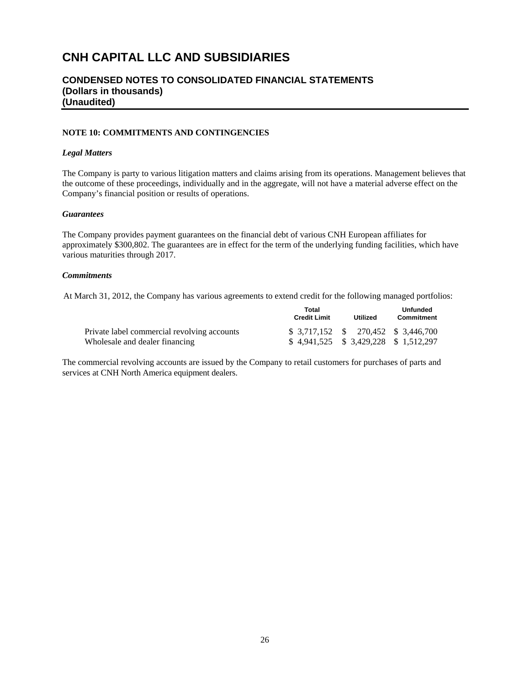## **CONDENSED NOTES TO CONSOLIDATED FINANCIAL STATEMENTS (Dollars in thousands) (Unaudited)**

### **NOTE 10: COMMITMENTS AND CONTINGENCIES**

#### *Legal Matters*

The Company is party to various litigation matters and claims arising from its operations. Management believes that the outcome of these proceedings, individually and in the aggregate, will not have a material adverse effect on the Company's financial position or results of operations.

#### *Guarantees*

The Company provides payment guarantees on the financial debt of various CNH European affiliates for approximately \$300,802. The guarantees are in effect for the term of the underlying funding facilities, which have various maturities through 2017.

## *Commitments*

At March 31, 2012, the Company has various agreements to extend credit for the following managed portfolios:

|                                             | Total<br><b>Credit Limit</b> | Utilized                               | Unfunded<br>Commitment |
|---------------------------------------------|------------------------------|----------------------------------------|------------------------|
| Private label commercial revolving accounts |                              | $$3,717,152$ $$270,452$ $$3,446,700$   |                        |
| Wholesale and dealer financing              |                              | $$4,941,525$ $$3,429,228$ $$1,512,297$ |                        |

The commercial revolving accounts are issued by the Company to retail customers for purchases of parts and services at CNH North America equipment dealers.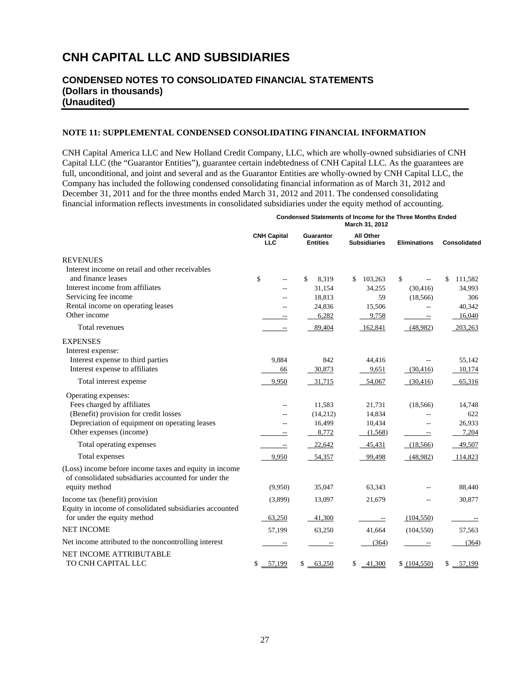## **CONDENSED NOTES TO CONSOLIDATED FINANCIAL STATEMENTS (Dollars in thousands) (Unaudited)**

### **NOTE 11: SUPPLEMENTAL CONDENSED CONSOLIDATING FINANCIAL INFORMATION**

CNH Capital America LLC and New Holland Credit Company, LLC, which are wholly-owned subsidiaries of CNH Capital LLC (the "Guarantor Entities"), guarantee certain indebtedness of CNH Capital LLC. As the guarantees are full, unconditional, and joint and several and as the Guarantor Entities are wholly-owned by CNH Capital LLC, the Company has included the following condensed consolidating financial information as of March 31, 2012 and December 31, 2011 and for the three months ended March 31, 2012 and 2011. The condensed consolidating financial information reflects investments in consolidated subsidiaries under the equity method of accounting.

> **Condensed Statements of Income for the Three Months Ended March 31, 2012**

|                                                                                                                |                           |                              | March 31, 2012                   |                     |               |
|----------------------------------------------------------------------------------------------------------------|---------------------------|------------------------------|----------------------------------|---------------------|---------------|
|                                                                                                                | <b>CNH Capital</b><br>LLC | Guarantor<br><b>Entities</b> | All Other<br><b>Subsidiaries</b> | <b>Eliminations</b> | Consolidated  |
| <b>REVENUES</b>                                                                                                |                           |                              |                                  |                     |               |
| Interest income on retail and other receivables                                                                |                           |                              |                                  |                     |               |
| and finance leases                                                                                             | \$                        | \$<br>8,319                  | 103,263<br>\$                    | \$                  | \$<br>111,582 |
| Interest income from affiliates                                                                                | $-$                       | 31,154                       | 34,255                           | (30, 416)           | 34,993        |
| Servicing fee income                                                                                           | $-$                       | 18,813                       | 59                               | (18, 566)           | 306           |
| Rental income on operating leases                                                                              |                           | 24,836                       | 15,506                           | $\overline{a}$      | 40,342        |
| Other income                                                                                                   |                           | 6,282                        | 9,758                            | $\rightarrow$       | 16,040        |
| Total revenues                                                                                                 | $\overline{\phantom{a}}$  | 89,404                       | 162,841                          | (48,982)            | 203,263       |
| <b>EXPENSES</b>                                                                                                |                           |                              |                                  |                     |               |
| Interest expense:                                                                                              |                           |                              |                                  |                     |               |
| Interest expense to third parties                                                                              | 9,884                     | 842                          | 44,416                           |                     | 55,142        |
| Interest expense to affiliates                                                                                 | 66                        | 30,873                       | 9,651                            | (30, 416)           | 10,174        |
| Total interest expense                                                                                         | 9,950                     | 31,715                       | 54,067                           | (30, 416)           | 65,316        |
| Operating expenses:                                                                                            |                           |                              |                                  |                     |               |
| Fees charged by affiliates                                                                                     | $-$                       | 11,583                       | 21,731                           | (18, 566)           | 14,748        |
| (Benefit) provision for credit losses                                                                          |                           | (14,212)                     | 14,834                           | $\overline{a}$      | 622           |
| Depreciation of equipment on operating leases                                                                  | $\overline{a}$            | 16,499                       | 10,434                           | $\overline{a}$      | 26,933        |
| Other expenses (income)                                                                                        |                           | 8,772                        | (1,568)                          | $\equiv$            | 7,204         |
| Total operating expenses                                                                                       | $\overline{\phantom{a}}$  | 22,642                       | 45,431                           | (18, 566)           | 49,507        |
| Total expenses                                                                                                 | 9,950                     | 54,357                       | 99,498                           | (48,982)            | 114,823       |
| (Loss) income before income taxes and equity in income<br>of consolidated subsidiaries accounted for under the |                           |                              |                                  |                     |               |
| equity method                                                                                                  | (9.950)                   | 35,047                       | 63,343                           |                     | 88,440        |
| Income tax (benefit) provision<br>Equity in income of consolidated subsidiaries accounted                      | (3,899)                   | 13,097                       | 21,679                           |                     | 30,877        |
| for under the equity method                                                                                    | 63,250                    | 41,300                       | $-\hbox{--}$                     | (104, 550)          |               |
| <b>NET INCOME</b>                                                                                              | 57,199                    | 63,250                       | 41,664                           | (104, 550)          | 57,563        |
| Net income attributed to the noncontrolling interest                                                           |                           | $\equiv$                     | (364)                            | $\equiv$            | (364)         |
| <b>NET INCOME ATTRIBUTABLE</b><br>TO CNH CAPITAL LLC                                                           | 57,199<br>\$              | 63,250<br>\$                 | $-41,300$<br>\$                  | \$ (104,550)        | \$<br>57,199  |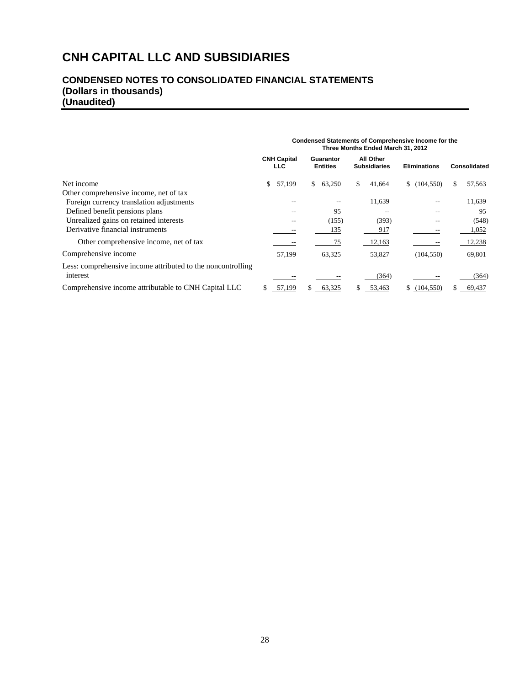# **CONDENSED NOTES TO CONSOLIDATED FINANCIAL STATEMENTS (Dollars in thousands) (Unaudited)**

|                                                             | Condensed Statements of Comprehensive Income for the<br>Three Months Ended March 31, 2012 |                              |                                  |                     |              |  |  |  |  |  |
|-------------------------------------------------------------|-------------------------------------------------------------------------------------------|------------------------------|----------------------------------|---------------------|--------------|--|--|--|--|--|
|                                                             | <b>CNH Capital</b><br><b>LLC</b>                                                          | Guarantor<br><b>Entities</b> | All Other<br><b>Subsidiaries</b> | <b>Eliminations</b> | Consolidated |  |  |  |  |  |
| Net income                                                  | \$<br>57,199                                                                              | 63,250<br>\$.                | 41,664<br>S.                     | (104, 550)          | 57,563<br>S. |  |  |  |  |  |
| Other comprehensive income, net of tax                      |                                                                                           |                              |                                  |                     |              |  |  |  |  |  |
| Foreign currency translation adjustments                    |                                                                                           |                              | 11,639                           |                     | 11,639       |  |  |  |  |  |
| Defined benefit pensions plans                              |                                                                                           | 95                           |                                  |                     | 95           |  |  |  |  |  |
| Unrealized gains on retained interests                      | $-$                                                                                       | (155)                        | (393)                            |                     | (548)        |  |  |  |  |  |
| Derivative financial instruments                            |                                                                                           | 135                          | 917                              |                     | 1,052        |  |  |  |  |  |
| Other comprehensive income, net of tax                      |                                                                                           | 75                           | 12,163                           |                     | 12,238       |  |  |  |  |  |
| Comprehensive income                                        | 57,199                                                                                    | 63,325                       | 53,827                           | (104, 550)          | 69,801       |  |  |  |  |  |
| Less: comprehensive income attributed to the noncontrolling |                                                                                           |                              |                                  |                     |              |  |  |  |  |  |
| interest                                                    |                                                                                           |                              | (364)                            |                     | (364)        |  |  |  |  |  |
| Comprehensive income attributable to CNH Capital LLC        | 57,199<br>S.                                                                              | 63,325<br>S.                 | 53,463<br>S.                     | \$(104,550)         | 69,437       |  |  |  |  |  |

## 28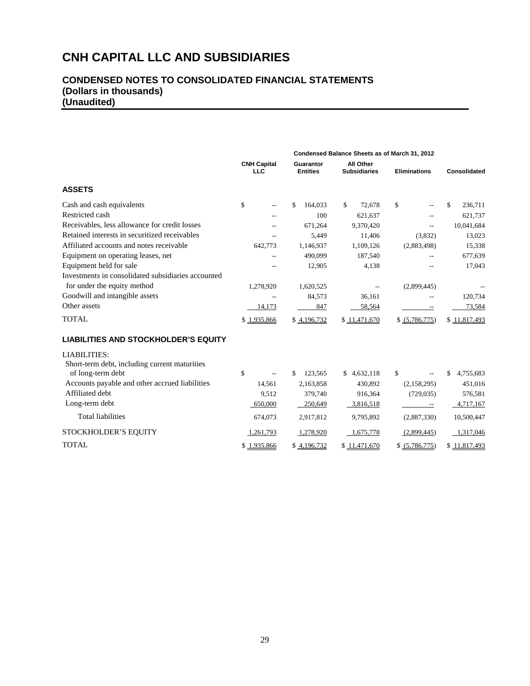|                                                    | <b>CNH Capital</b><br><b>LLC</b> | Guarantor<br><b>Entities</b> | All Other<br><b>Subsidiaries</b> | <b>Eliminations</b>      | Consolidated    |
|----------------------------------------------------|----------------------------------|------------------------------|----------------------------------|--------------------------|-----------------|
| <b>ASSETS</b>                                      |                                  |                              |                                  |                          |                 |
| Cash and cash equivalents                          | \$<br>--                         | \$<br>164,033                | \$<br>72,678                     | \$                       | \$<br>236,711   |
| Restricted cash                                    | --                               | 100                          | 621,637                          | $-$                      | 621,737         |
| Receivables, less allowance for credit losses      |                                  | 671,264                      | 9,370,420                        | $-$                      | 10,041,684      |
| Retained interests in securitized receivables      | $\overline{a}$                   | 5,449                        | 11,406                           | (3,832)                  | 13,023          |
| Affiliated accounts and notes receivable           | 642,773                          | 1,146,937                    | 1,109,126                        | (2,883,498)              | 15,338          |
| Equipment on operating leases, net                 | --                               | 490,099                      | 187,540                          | $-$                      | 677,639         |
| Equipment held for sale                            | $-$                              | 12,905                       | 4,138                            |                          | 17,043          |
| Investments in consolidated subsidiaries accounted |                                  |                              |                                  |                          |                 |
| for under the equity method                        | 1,278,920                        | 1,620,525                    |                                  | (2,899,445)              |                 |
| Goodwill and intangible assets                     | $\overline{a}$                   | 84,573                       | 36,161                           | $\sim$                   | 120,734         |
| Other assets                                       | 14,173                           | 847                          | 58,564                           | $\overline{\phantom{m}}$ | 73,584          |
| <b>TOTAL</b>                                       | \$1,935,866                      | \$4,196,732                  | \$11,471,670                     | \$ (5,786,775)           | \$11,817,493    |
| <b>LIABILITIES AND STOCKHOLDER'S EQUITY</b>        |                                  |                              |                                  |                          |                 |
| LIABILITIES:                                       |                                  |                              |                                  |                          |                 |
| Short-term debt, including current maturities      |                                  |                              |                                  |                          |                 |
| of long-term debt                                  | \$<br>$\overline{a}$             | 123,565<br>\$.               | \$4,632,118                      | \$                       | 4,755,683<br>\$ |
| Accounts payable and other accrued liabilities     | 14,561                           | 2,163,858                    | 430,892                          | (2,158,295)              | 451,016         |
| Affiliated debt                                    | 9,512                            | 379,740                      | 916,364                          | (729, 035)               | 576,581         |
| Long-term debt                                     | 650,000                          | 250,649                      | 3,816,518                        |                          | 4,717,167       |
| <b>Total liabilities</b>                           | 674,073                          | 2,917,812                    | 9,795,892                        | (2,887,330)              | 10,500,447      |
| STOCKHOLDER'S EQUITY                               | 1,261,793                        | 1,278,920                    | 1,675,778                        | (2,899,445)              | 1,317,046       |
| <b>TOTAL</b>                                       | \$1,935,866                      | \$4,196,732                  | \$11,471,670                     | \$ (5,786,775)           | \$11,817,493    |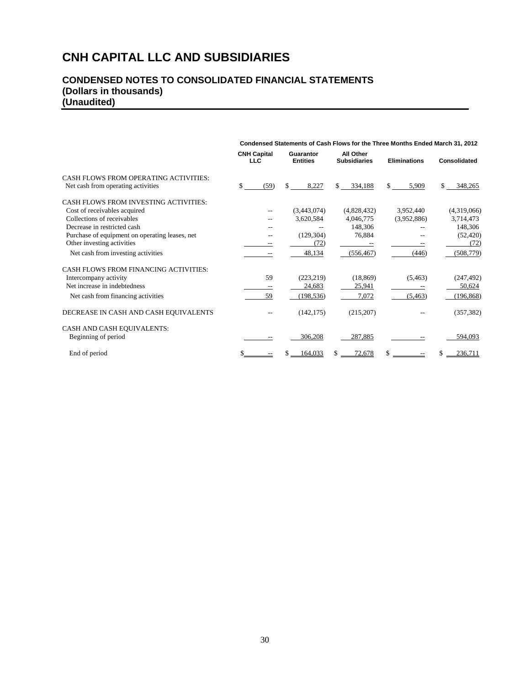|                                                | Condensed Statements of Cash Flows for the Three Months Ended March 31, 2012 |                                  |  |                              |    |                                  |    |                     |    |              |  |  |  |
|------------------------------------------------|------------------------------------------------------------------------------|----------------------------------|--|------------------------------|----|----------------------------------|----|---------------------|----|--------------|--|--|--|
|                                                |                                                                              | <b>CNH Capital</b><br><b>LLC</b> |  | Guarantor<br><b>Entities</b> |    | All Other<br><b>Subsidiaries</b> |    | <b>Eliminations</b> |    | Consolidated |  |  |  |
| CASH FLOWS FROM OPERATING ACTIVITIES:          |                                                                              |                                  |  |                              |    |                                  |    |                     |    |              |  |  |  |
| Net cash from operating activities             | \$                                                                           | (59)                             |  | 8,227                        | \$ | 334,188                          | \$ | 5,909               | \$ | 348,265      |  |  |  |
| CASH FLOWS FROM INVESTING ACTIVITIES:          |                                                                              |                                  |  |                              |    |                                  |    |                     |    |              |  |  |  |
| Cost of receivables acquired                   |                                                                              | --                               |  | (3,443,074)                  |    | (4,828,432)                      |    | 3,952,440           |    | (4,319,066)  |  |  |  |
| Collections of receivables                     |                                                                              | $-$                              |  | 3,620,584                    |    | 4,046,775                        |    | (3,952,886)         |    | 3,714,473    |  |  |  |
| Decrease in restricted cash                    |                                                                              |                                  |  |                              |    | 148,306                          |    |                     |    | 148,306      |  |  |  |
| Purchase of equipment on operating leases, net |                                                                              |                                  |  | (129, 304)                   |    | 76,884                           |    |                     |    | (52, 420)    |  |  |  |
| Other investing activities                     |                                                                              |                                  |  | (72)                         |    |                                  |    |                     |    | (72)         |  |  |  |
| Net cash from investing activities             |                                                                              |                                  |  | 48,134                       |    | (556, 467)                       |    | (446)               |    | (508, 779)   |  |  |  |
| CASH FLOWS FROM FINANCING ACTIVITIES:          |                                                                              |                                  |  |                              |    |                                  |    |                     |    |              |  |  |  |
| Intercompany activity                          |                                                                              | 59                               |  | (223, 219)                   |    | (18, 869)                        |    | (5,463)             |    | (247, 492)   |  |  |  |
| Net increase in indebtedness                   |                                                                              |                                  |  | 24,683                       |    | 25,941                           |    |                     |    | 50,624       |  |  |  |
| Net cash from financing activities             |                                                                              | 59                               |  | (198, 536)                   |    | 7,072                            |    | (5, 463)            |    | (196, 868)   |  |  |  |
| DECREASE IN CASH AND CASH EQUIVALENTS          |                                                                              |                                  |  | (142, 175)                   |    | (215,207)                        |    |                     |    | (357, 382)   |  |  |  |
| CASH AND CASH EQUIVALENTS:                     |                                                                              |                                  |  |                              |    |                                  |    |                     |    |              |  |  |  |
| Beginning of period                            |                                                                              |                                  |  | 306,208                      |    | 287,885                          |    |                     |    | 594,093      |  |  |  |
| End of period                                  |                                                                              |                                  |  | 164.033                      |    | 72,678                           | \$ |                     | S. | 236.711      |  |  |  |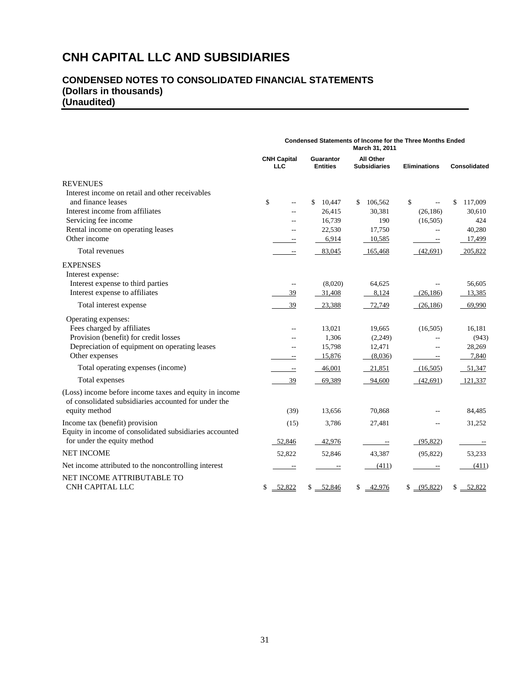|                                                                                                                | <b>Condensed Statements of Income for the Three Months Ended</b><br>March 31, 2011 |                                     |                                  |                          |               |  |
|----------------------------------------------------------------------------------------------------------------|------------------------------------------------------------------------------------|-------------------------------------|----------------------------------|--------------------------|---------------|--|
|                                                                                                                | <b>CNH Capital</b><br><b>LLC</b>                                                   | <b>Guarantor</b><br><b>Entities</b> | All Other<br><b>Subsidiaries</b> | <b>Eliminations</b>      | Consolidated  |  |
| <b>REVENUES</b>                                                                                                |                                                                                    |                                     |                                  |                          |               |  |
| Interest income on retail and other receivables                                                                |                                                                                    |                                     |                                  |                          |               |  |
| and finance leases                                                                                             | \$                                                                                 | 10,447<br>S.                        | \$<br>106,562                    | \$                       | \$<br>117,009 |  |
| Interest income from affiliates                                                                                | $\overline{a}$                                                                     | 26,415                              | 30,381                           | (26, 186)                | 30,610        |  |
| Servicing fee income                                                                                           |                                                                                    | 16,739                              | 190                              | (16,505)                 | 424           |  |
| Rental income on operating leases                                                                              | $-$                                                                                | 22,530                              | 17,750                           | $-$                      | 40,280        |  |
| Other income                                                                                                   | --                                                                                 | 6,914                               | 10,585                           | $\overline{\phantom{a}}$ | 17,499        |  |
| Total revenues                                                                                                 | $\overline{\phantom{m}}$                                                           | 83,045                              | 165,468                          | (42,691)                 | 205,822       |  |
| <b>EXPENSES</b>                                                                                                |                                                                                    |                                     |                                  |                          |               |  |
| Interest expense:                                                                                              |                                                                                    |                                     |                                  |                          |               |  |
| Interest expense to third parties                                                                              | $- -$                                                                              | (8,020)                             | 64,625                           |                          | 56,605        |  |
| Interest expense to affiliates                                                                                 | 39                                                                                 | 31,408                              | 8,124                            | (26, 186)                | 13,385        |  |
| Total interest expense                                                                                         | 39                                                                                 | 23,388                              | 72,749                           | (26, 186)                | 69,990        |  |
| Operating expenses:                                                                                            |                                                                                    |                                     |                                  |                          |               |  |
| Fees charged by affiliates                                                                                     | $\overline{a}$                                                                     | 13,021                              | 19,665                           | (16,505)                 | 16,181        |  |
| Provision (benefit) for credit losses                                                                          |                                                                                    | 1,306                               | (2,249)                          |                          | (943)         |  |
| Depreciation of equipment on operating leases                                                                  |                                                                                    | 15,798                              | 12,471                           |                          | 28,269        |  |
| Other expenses                                                                                                 | $- -$                                                                              | 15,876                              | (8,036)                          | $\overline{\phantom{a}}$ | 7,840         |  |
| Total operating expenses (income)                                                                              | $\overline{\phantom{a}}$                                                           | 46,001                              | 21,851                           | (16,505)                 | 51,347        |  |
| Total expenses                                                                                                 | 39                                                                                 | 69,389                              | 94,600                           | (42,691)                 | 121,337       |  |
| (Loss) income before income taxes and equity in income<br>of consolidated subsidiaries accounted for under the |                                                                                    |                                     |                                  |                          |               |  |
| equity method                                                                                                  | (39)                                                                               | 13,656                              | 70,868                           |                          | 84,485        |  |
| Income tax (benefit) provision<br>Equity in income of consolidated subsidiaries accounted                      | (15)                                                                               | 3,786                               | 27,481                           |                          | 31,252        |  |
| for under the equity method                                                                                    | 52,846                                                                             | 42,976                              | $\hspace{0.05cm} \dashv$         | (95, 822)                |               |  |
| <b>NET INCOME</b>                                                                                              | 52,822                                                                             | 52,846                              | 43,387                           | (95, 822)                | 53,233        |  |
| Net income attributed to the noncontrolling interest                                                           | $\overline{\phantom{a}}$                                                           |                                     | (411)                            | $\hspace{0.05cm} \dashv$ | (411)         |  |
| NET INCOME ATTRIBUTABLE TO                                                                                     |                                                                                    |                                     |                                  |                          |               |  |
| CNH CAPITAL LLC                                                                                                | 52,822<br>\$                                                                       | \$ 52,846                           | \$42,976                         | \$ (95,822)              | \$ 52,822     |  |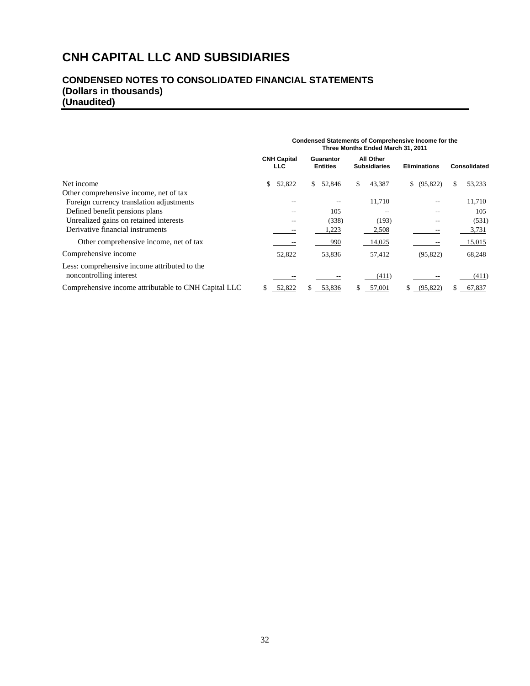# **CONDENSED NOTES TO CONSOLIDATED FINANCIAL STATEMENTS (Dollars in thousands) (Unaudited)**

|                                                                                    | <b>Condensed Statements of Comprehensive Income for the</b><br>Three Months Ended March 31, 2011 |        |    |                              |    |                                  |                     |    |              |  |  |
|------------------------------------------------------------------------------------|--------------------------------------------------------------------------------------------------|--------|----|------------------------------|----|----------------------------------|---------------------|----|--------------|--|--|
|                                                                                    | <b>CNH Capital</b><br><b>LLC</b>                                                                 |        |    | Guarantor<br><b>Entities</b> |    | All Other<br><b>Subsidiaries</b> | <b>Eliminations</b> |    | Consolidated |  |  |
| Net income                                                                         | \$                                                                                               | 52,822 | S. | 52,846                       | \$ | 43,387                           | (95, 822)<br>\$     | S. | 53,233       |  |  |
| Other comprehensive income, net of tax<br>Foreign currency translation adjustments |                                                                                                  |        |    |                              |    | 11,710                           |                     |    | 11,710       |  |  |
| Defined benefit pensions plans                                                     |                                                                                                  |        |    | 105                          |    |                                  |                     |    | 105          |  |  |
| Unrealized gains on retained interests                                             |                                                                                                  |        |    | (338)                        |    | (193)                            |                     |    | (531)        |  |  |
| Derivative financial instruments                                                   |                                                                                                  |        |    | 1,223                        |    | 2,508                            |                     |    | 3,731        |  |  |
| Other comprehensive income, net of tax                                             |                                                                                                  |        |    | 990                          |    | 14,025                           |                     |    | 15,015       |  |  |
| Comprehensive income                                                               |                                                                                                  | 52,822 |    | 53,836                       |    | 57,412                           | (95, 822)           |    | 68,248       |  |  |
| Less: comprehensive income attributed to the<br>noncontrolling interest            |                                                                                                  |        |    |                              |    | (411)                            |                     |    | (411)        |  |  |
| Comprehensive income attributable to CNH Capital LLC                               | 52,822                                                                                           |        |    | \$ 53,836                    |    | 57,001                           | (95, 822)<br>S.     |    | 67,837       |  |  |

# 32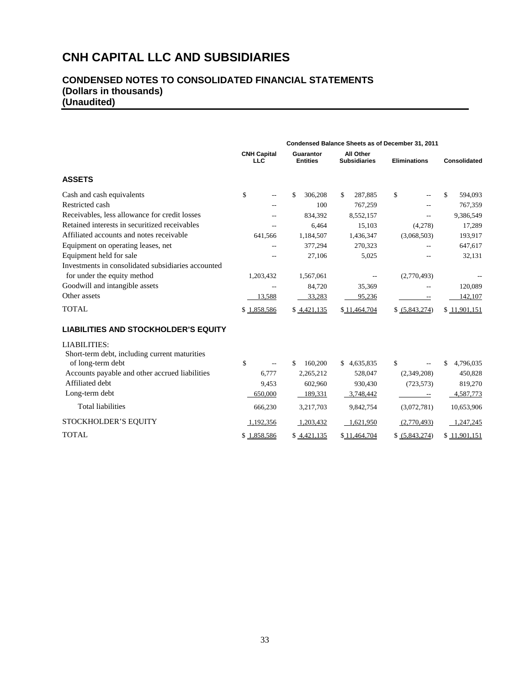|                                                                     | Condensed Balance Sheets as of December 31, 2011 |                              |                                         |                     |                |  |  |  |  |
|---------------------------------------------------------------------|--------------------------------------------------|------------------------------|-----------------------------------------|---------------------|----------------|--|--|--|--|
|                                                                     | <b>CNH Capital</b><br><b>LLC</b>                 | Guarantor<br><b>Entities</b> | <b>All Other</b><br><b>Subsidiaries</b> | <b>Eliminations</b> | Consolidated   |  |  |  |  |
| <b>ASSETS</b>                                                       |                                                  |                              |                                         |                     |                |  |  |  |  |
| Cash and cash equivalents                                           | \$                                               | \$<br>306,208                | 287,885<br>S.                           | \$                  | \$.<br>594,093 |  |  |  |  |
| Restricted cash                                                     |                                                  | 100                          | 767,259                                 |                     | 767,359        |  |  |  |  |
| Receivables, less allowance for credit losses                       |                                                  | 834,392                      | 8,552,157                               |                     | 9,386,549      |  |  |  |  |
| Retained interests in securitized receivables                       |                                                  | 6,464                        | 15,103                                  | (4,278)             | 17,289         |  |  |  |  |
| Affiliated accounts and notes receivable                            | 641,566                                          | 1,184,507                    | 1,436,347                               | (3,068,503)         | 193,917        |  |  |  |  |
| Equipment on operating leases, net                                  |                                                  | 377,294                      | 270,323                                 |                     | 647,617        |  |  |  |  |
| Equipment held for sale                                             |                                                  | 27,106                       | 5,025                                   |                     | 32,131         |  |  |  |  |
| Investments in consolidated subsidiaries accounted                  |                                                  |                              |                                         |                     |                |  |  |  |  |
| for under the equity method                                         | 1,203,432                                        | 1,567,061                    |                                         | (2,770,493)         |                |  |  |  |  |
| Goodwill and intangible assets                                      |                                                  | 84,720                       | 35,369                                  |                     | 120,089        |  |  |  |  |
| Other assets                                                        | 13,588                                           | 33,283                       | 95,236                                  |                     | 142,107        |  |  |  |  |
| <b>TOTAL</b>                                                        | \$1,858,586                                      | \$4,421,135                  | \$11,464,704                            | \$ (5,843,274)      | \$11,901,151   |  |  |  |  |
| <b>LIABILITIES AND STOCKHOLDER'S EQUITY</b>                         |                                                  |                              |                                         |                     |                |  |  |  |  |
| <b>LIABILITIES:</b><br>Short-term debt including current maturities |                                                  |                              |                                         |                     |                |  |  |  |  |

| $\frac{1}{2}$                                  |                         |             |              |                |              |
|------------------------------------------------|-------------------------|-------------|--------------|----------------|--------------|
| of long-term debt                              | \$<br>$\qquad \qquad -$ | 160,200     | \$4,635,835  | $- -$          | 4,796,035    |
| Accounts payable and other accrued liabilities | 6.777                   | 2,265,212   | 528,047      | (2,349,208)    | 450,828      |
| Affiliated debt                                | 9.453                   | 602,960     | 930,430      | (723, 573)     | 819,270      |
| Long-term debt                                 | 650,000                 | 189.331     | 3.748.442    |                | 4,587,773    |
| <b>Total liabilities</b>                       | 666.230                 | 3.217.703   | 9,842,754    | (3.072.781)    | 10,653,906   |
| STOCKHOLDER'S EQUITY                           | 1.192.356               | 1.203.432   | 1.621.950    | (2.770.493)    | 1.247.245    |
| <b>TOTAL</b>                                   | \$1,858,586             | \$4,421,135 | \$11,464,704 | \$ (5,843,274) | \$11,901,151 |
|                                                |                         |             |              |                |              |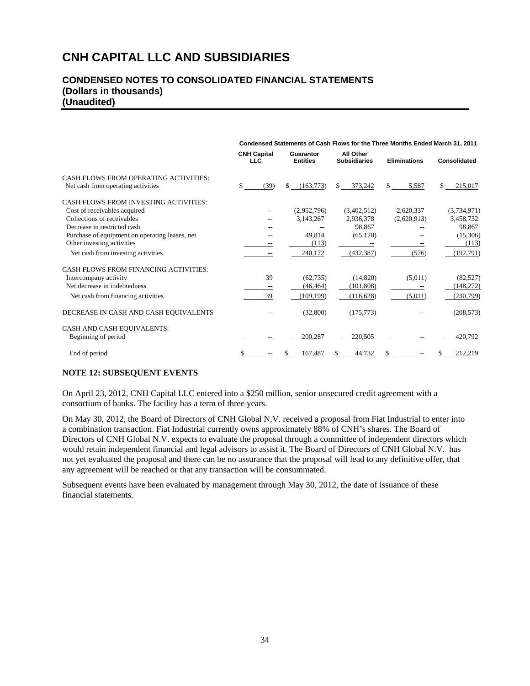## **CONDENSED NOTES TO CONSOLIDATED FINANCIAL STATEMENTS (Dollars in thousands) (Unaudited)**

|                                                | Condensed Statements of Cash Flows for the Three Months Ended March 31, 2011 |                                                                  |               |                       |                         |  |
|------------------------------------------------|------------------------------------------------------------------------------|------------------------------------------------------------------|---------------|-----------------------|-------------------------|--|
|                                                | <b>CNH Capital</b><br><b>LLC</b>                                             | All Other<br>Guarantor<br><b>Entities</b><br><b>Subsidiaries</b> |               | <b>Eliminations</b>   | <b>Consolidated</b>     |  |
| CASH FLOWS FROM OPERATING ACTIVITIES:          |                                                                              |                                                                  |               |                       |                         |  |
| Net cash from operating activities             | \$<br>(39)                                                                   | (163,773)<br>\$                                                  | 373,242<br>\$ | $\mathbb{S}$<br>5,587 | 215,017<br>$\mathbb{S}$ |  |
| <b>CASH FLOWS FROM INVESTING ACTIVITIES:</b>   |                                                                              |                                                                  |               |                       |                         |  |
| Cost of receivables acquired                   | $-$                                                                          | (2,952,796)                                                      | (3,402,512)   | 2,620,337             | (3,734,971)             |  |
| Collections of receivables                     | $-$                                                                          | 3,143,267                                                        | 2,936,378     | (2,620,913)           | 3,458,732               |  |
| Decrease in restricted cash                    | --                                                                           |                                                                  | 98.867        |                       | 98,867                  |  |
| Purchase of equipment on operating leases, net |                                                                              | 49,814                                                           | (65, 120)     |                       | (15,306)                |  |
| Other investing activities                     |                                                                              | (113)                                                            |               |                       | (113)                   |  |
| Net cash from investing activities             | $\overline{\phantom{m}}$                                                     | 240,172                                                          | (432, 387)    | (576)                 | (192, 791)              |  |
| <b>CASH FLOWS FROM FINANCING ACTIVITIES:</b>   |                                                                              |                                                                  |               |                       |                         |  |
| Intercompany activity                          | 39                                                                           | (62, 735)                                                        | (14,820)      | (5,011)               | (82, 527)               |  |
| Net decrease in indebtedness                   |                                                                              | (46, 464)                                                        | (101, 808)    |                       | (148, 272)              |  |
| Net cash from financing activities             | 39                                                                           | (109, 199)                                                       | (116, 628)    | (5,011)               | (230,799)               |  |
| DECREASE IN CASH AND CASH EQUIVALENTS          |                                                                              | (32,800)                                                         | (175, 773)    |                       | (208, 573)              |  |
| CASH AND CASH EQUIVALENTS:                     |                                                                              |                                                                  |               |                       |                         |  |
| Beginning of period                            |                                                                              | 200,287                                                          | 220,505       |                       | 420,792                 |  |
| End of period                                  |                                                                              | 167,487<br>S.                                                    | 44,732        | \$                    | 212,219<br>$s =$        |  |

## **NOTE 12: SUBSEQUENT EVENTS**

On April 23, 2012, CNH Capital LLC entered into a \$250 million, senior unsecured credit agreement with a consortium of banks. The facility has a term of three years.

On May 30, 2012, the Board of Directors of CNH Global N.V. received a proposal from Fiat Industrial to enter into a combination transaction. Fiat Industrial currently owns approximately 88% of CNH's shares. The Board of Directors of CNH Global N.V. expects to evaluate the proposal through a committee of independent directors which would retain independent financial and legal advisors to assist it. The Board of Directors of CNH Global N.V. has not yet evaluated the proposal and there can be no assurance that the proposal will lead to any definitive offer, that any agreement will be reached or that any transaction will be consummated.

Subsequent events have been evaluated by management through May 30, 2012, the date of issuance of these financial statements.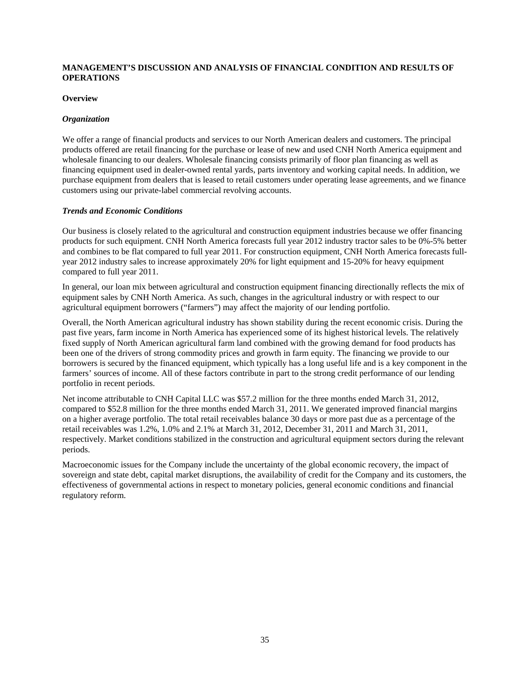### **MANAGEMENT'S DISCUSSION AND ANALYSIS OF FINANCIAL CONDITION AND RESULTS OF OPERATIONS**

#### **Overview**

### *Organization*

We offer a range of financial products and services to our North American dealers and customers. The principal products offered are retail financing for the purchase or lease of new and used CNH North America equipment and wholesale financing to our dealers. Wholesale financing consists primarily of floor plan financing as well as financing equipment used in dealer-owned rental yards, parts inventory and working capital needs. In addition, we purchase equipment from dealers that is leased to retail customers under operating lease agreements, and we finance customers using our private-label commercial revolving accounts.

#### *Trends and Economic Conditions*

Our business is closely related to the agricultural and construction equipment industries because we offer financing products for such equipment. CNH North America forecasts full year 2012 industry tractor sales to be 0%-5% better and combines to be flat compared to full year 2011. For construction equipment, CNH North America forecasts fullyear 2012 industry sales to increase approximately 20% for light equipment and 15-20% for heavy equipment compared to full year 2011.

In general, our loan mix between agricultural and construction equipment financing directionally reflects the mix of equipment sales by CNH North America. As such, changes in the agricultural industry or with respect to our agricultural equipment borrowers ("farmers") may affect the majority of our lending portfolio.

Overall, the North American agricultural industry has shown stability during the recent economic crisis. During the past five years, farm income in North America has experienced some of its highest historical levels. The relatively fixed supply of North American agricultural farm land combined with the growing demand for food products has been one of the drivers of strong commodity prices and growth in farm equity. The financing we provide to our borrowers is secured by the financed equipment, which typically has a long useful life and is a key component in the farmers' sources of income. All of these factors contribute in part to the strong credit performance of our lending portfolio in recent periods.

Net income attributable to CNH Capital LLC was \$57.2 million for the three months ended March 31, 2012, compared to \$52.8 million for the three months ended March 31, 2011. We generated improved financial margins on a higher average portfolio. The total retail receivables balance 30 days or more past due as a percentage of the retail receivables was 1.2%, 1.0% and 2.1% at March 31, 2012, December 31, 2011 and March 31, 2011, respectively. Market conditions stabilized in the construction and agricultural equipment sectors during the relevant periods.

Macroeconomic issues for the Company include the uncertainty of the global economic recovery, the impact of sovereign and state debt, capital market disruptions, the availability of credit for the Company and its customers, the effectiveness of governmental actions in respect to monetary policies, general economic conditions and financial regulatory reform.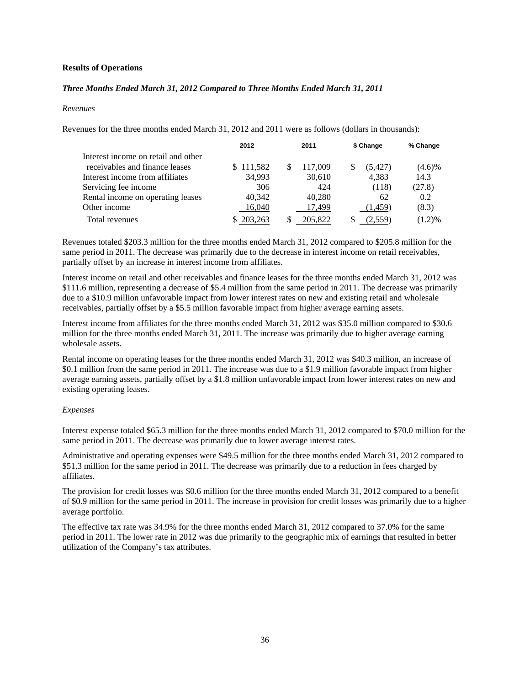### **Results of Operations**

### *Three Months Ended March 31, 2012 Compared to Three Months Ended March 31, 2011*

#### *Revenues*

Revenues for the three months ended March 31, 2012 and 2011 were as follows (dollars in thousands):

|                                     | 2012      | 2011 |         | \$ Change | % Change  |
|-------------------------------------|-----------|------|---------|-----------|-----------|
| Interest income on retail and other |           |      |         |           |           |
| receivables and finance leases      | \$111,582 |      | 117,009 | (5, 427)  | $(4.6)\%$ |
| Interest income from affiliates     | 34,993    |      | 30,610  | 4,383     | 14.3      |
| Servicing fee income                | 306       |      | 424     | (118)     | (27.8)    |
| Rental income on operating leases   | 40,342    |      | 40,280  | 62        | 0.2       |
| Other income                        | 16,040    |      | 17.499  | (1, 459)  | (8.3)     |
| Total revenues                      | 203,263   |      | 205,822 | (2,559)   | $(1.2)\%$ |

Revenues totaled \$203.3 million for the three months ended March 31, 2012 compared to \$205.8 million for the same period in 2011. The decrease was primarily due to the decrease in interest income on retail receivables, partially offset by an increase in interest income from affiliates.

Interest income on retail and other receivables and finance leases for the three months ended March 31, 2012 was \$111.6 million, representing a decrease of \$5.4 million from the same period in 2011. The decrease was primarily due to a \$10.9 million unfavorable impact from lower interest rates on new and existing retail and wholesale receivables, partially offset by a \$5.5 million favorable impact from higher average earning assets.

Interest income from affiliates for the three months ended March 31, 2012 was \$35.0 million compared to \$30.6 million for the three months ended March 31, 2011. The increase was primarily due to higher average earning wholesale assets.

Rental income on operating leases for the three months ended March 31, 2012 was \$40.3 million, an increase of \$0.1 million from the same period in 2011. The increase was due to a \$1.9 million favorable impact from higher average earning assets, partially offset by a \$1.8 million unfavorable impact from lower interest rates on new and existing operating leases.

#### *Expenses*

Interest expense totaled \$65.3 million for the three months ended March 31, 2012 compared to \$70.0 million for the same period in 2011. The decrease was primarily due to lower average interest rates.

Administrative and operating expenses were \$49.5 million for the three months ended March 31, 2012 compared to \$51.3 million for the same period in 2011. The decrease was primarily due to a reduction in fees charged by affiliates.

The provision for credit losses was \$0.6 million for the three months ended March 31, 2012 compared to a benefit of \$0.9 million for the same period in 2011. The increase in provision for credit losses was primarily due to a higher average portfolio.

The effective tax rate was 34.9% for the three months ended March 31, 2012 compared to 37.0% for the same period in 2011. The lower rate in 2012 was due primarily to the geographic mix of earnings that resulted in better utilization of the Company's tax attributes.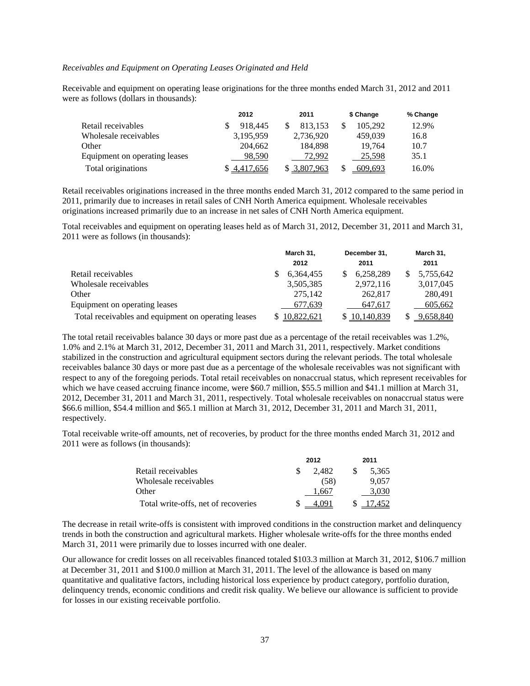#### *Receivables and Equipment on Operating Leases Originated and Held*

Receivable and equipment on operating lease originations for the three months ended March 31, 2012 and 2011 were as follows (dollars in thousands):

|                               | 2012      | 2011      | \$ Change | % Change |
|-------------------------------|-----------|-----------|-----------|----------|
| Retail receivables            | 918.445   | 813.153   | 105.292   | 12.9%    |
| Wholesale receivables         | 3.195.959 | 2,736,920 | 459,039   | 16.8     |
| Other                         | 204,662   | 184.898   | 19.764    | 10.7     |
| Equipment on operating leases | 98.590    | 72.992    | 25.598    | 35.1     |
| Total originations            | 4,417,656 | 3,807,963 | 609.693   | 16.0%    |

Retail receivables originations increased in the three months ended March 31, 2012 compared to the same period in 2011, primarily due to increases in retail sales of CNH North America equipment. Wholesale receivables originations increased primarily due to an increase in net sales of CNH North America equipment.

Total receivables and equipment on operating leases held as of March 31, 2012, December 31, 2011 and March 31, 2011 were as follows (in thousands):

|                                                     | March 31, |            | December 31,  |  | March 31, |
|-----------------------------------------------------|-----------|------------|---------------|--|-----------|
|                                                     |           | 2012       | 2011          |  | 2011      |
| Retail receivables                                  |           | 6.364.455  | 6,258,289     |  | 5,755,642 |
| Wholesale receivables                               |           | 3,505,385  | 2,972,116     |  | 3,017,045 |
| Other                                               |           | 275.142    | 262,817       |  | 280,491   |
| Equipment on operating leases                       |           | 677,639    | 647,617       |  | 605,662   |
| Total receivables and equipment on operating leases |           | 10,822,621 | \$ 10,140,839 |  | 9,658,840 |

The total retail receivables balance 30 days or more past due as a percentage of the retail receivables was 1.2%, 1.0% and 2.1% at March 31, 2012, December 31, 2011 and March 31, 2011, respectively. Market conditions stabilized in the construction and agricultural equipment sectors during the relevant periods. The total wholesale receivables balance 30 days or more past due as a percentage of the wholesale receivables was not significant with respect to any of the foregoing periods. Total retail receivables on nonaccrual status, which represent receivables for which we have ceased accruing finance income, were \$60.7 million, \$55.5 million and \$41.1 million at March 31, 2012, December 31, 2011 and March 31, 2011, respectively. Total wholesale receivables on nonaccrual status were \$66.6 million, \$54.4 million and \$65.1 million at March 31, 2012, December 31, 2011 and March 31, 2011, respectively.

Total receivable write-off amounts, net of recoveries, by product for the three months ended March 31, 2012 and 2011 were as follows (in thousands):

|                                     | 2012  | 2011 |        |  |
|-------------------------------------|-------|------|--------|--|
| Retail receivables                  | 2.482 |      | 5.365  |  |
| Wholesale receivables               | (58)  |      | 9.057  |  |
| Other                               | .667  |      | 3.030  |  |
| Total write-offs, net of recoveries | 1 I V |      | 17 452 |  |

The decrease in retail write-offs is consistent with improved conditions in the construction market and delinquency trends in both the construction and agricultural markets. Higher wholesale write-offs for the three months ended March 31, 2011 were primarily due to losses incurred with one dealer.

Our allowance for credit losses on all receivables financed totaled \$103.3 million at March 31, 2012, \$106.7 million at December 31, 2011 and \$100.0 million at March 31, 2011. The level of the allowance is based on many quantitative and qualitative factors, including historical loss experience by product category, portfolio duration, delinquency trends, economic conditions and credit risk quality. We believe our allowance is sufficient to provide for losses in our existing receivable portfolio.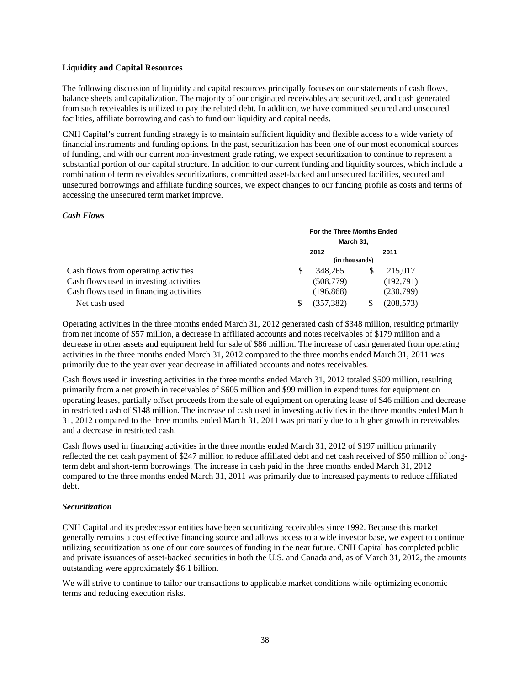#### **Liquidity and Capital Resources**

The following discussion of liquidity and capital resources principally focuses on our statements of cash flows, balance sheets and capitalization. The majority of our originated receivables are securitized, and cash generated from such receivables is utilized to pay the related debt. In addition, we have committed secured and unsecured facilities, affiliate borrowing and cash to fund our liquidity and capital needs.

CNH Capital's current funding strategy is to maintain sufficient liquidity and flexible access to a wide variety of financial instruments and funding options. In the past, securitization has been one of our most economical sources of funding, and with our current non-investment grade rating, we expect securitization to continue to represent a substantial portion of our capital structure. In addition to our current funding and liquidity sources, which include a combination of term receivables securitizations, committed asset-backed and unsecured facilities, secured and unsecured borrowings and affiliate funding sources, we expect changes to our funding profile as costs and terms of accessing the unsecured term market improve.

### *Cash Flows*

|                                         |           | For the Three Months Ended |      |           |  |  |
|-----------------------------------------|-----------|----------------------------|------|-----------|--|--|
|                                         | March 31, |                            |      |           |  |  |
|                                         | 2012      |                            | 2011 |           |  |  |
|                                         |           | (in thousands)             |      |           |  |  |
| Cash flows from operating activities    | \$        | 348.265                    |      | 215.017   |  |  |
| Cash flows used in investing activities |           | (508, 779)                 |      | (192,791) |  |  |
| Cash flows used in financing activities |           | (196, 868)                 |      | (230,799) |  |  |
| Net cash used                           |           | (357,382)                  |      | 208.573   |  |  |

Operating activities in the three months ended March 31, 2012 generated cash of \$348 million, resulting primarily from net income of \$57 million, a decrease in affiliated accounts and notes receivables of \$179 million and a decrease in other assets and equipment held for sale of \$86 million. The increase of cash generated from operating activities in the three months ended March 31, 2012 compared to the three months ended March 31, 2011 was primarily due to the year over year decrease in affiliated accounts and notes receivables.

Cash flows used in investing activities in the three months ended March 31, 2012 totaled \$509 million, resulting primarily from a net growth in receivables of \$605 million and \$99 million in expenditures for equipment on operating leases, partially offset proceeds from the sale of equipment on operating lease of \$46 million and decrease in restricted cash of \$148 million. The increase of cash used in investing activities in the three months ended March 31, 2012 compared to the three months ended March 31, 2011 was primarily due to a higher growth in receivables and a decrease in restricted cash.

Cash flows used in financing activities in the three months ended March 31, 2012 of \$197 million primarily reflected the net cash payment of \$247 million to reduce affiliated debt and net cash received of \$50 million of longterm debt and short-term borrowings. The increase in cash paid in the three months ended March 31, 2012 compared to the three months ended March 31, 2011 was primarily due to increased payments to reduce affiliated debt.

#### *Securitization*

CNH Capital and its predecessor entities have been securitizing receivables since 1992. Because this market generally remains a cost effective financing source and allows access to a wide investor base, we expect to continue utilizing securitization as one of our core sources of funding in the near future. CNH Capital has completed public and private issuances of asset-backed securities in both the U.S. and Canada and, as of March 31, 2012, the amounts outstanding were approximately \$6.1 billion.

We will strive to continue to tailor our transactions to applicable market conditions while optimizing economic terms and reducing execution risks.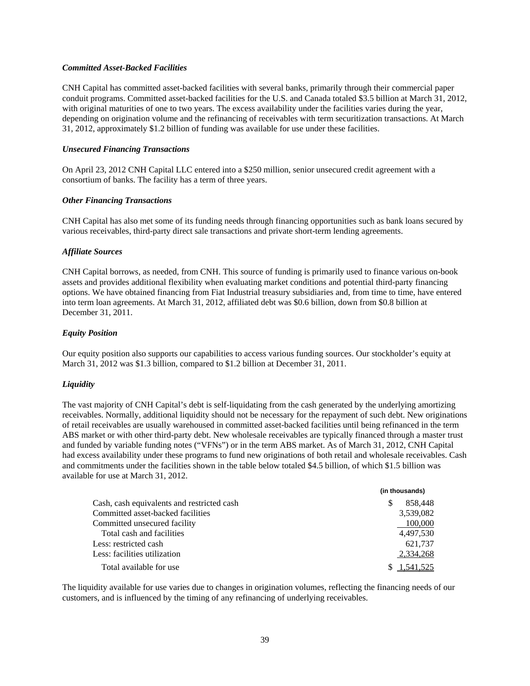#### *Committed Asset-Backed Facilities*

CNH Capital has committed asset-backed facilities with several banks, primarily through their commercial paper conduit programs. Committed asset-backed facilities for the U.S. and Canada totaled \$3.5 billion at March 31, 2012, with original maturities of one to two years. The excess availability under the facilities varies during the year, depending on origination volume and the refinancing of receivables with term securitization transactions. At March 31, 2012, approximately \$1.2 billion of funding was available for use under these facilities.

#### *Unsecured Financing Transactions*

On April 23, 2012 CNH Capital LLC entered into a \$250 million, senior unsecured credit agreement with a consortium of banks. The facility has a term of three years.

### *Other Financing Transactions*

CNH Capital has also met some of its funding needs through financing opportunities such as bank loans secured by various receivables, third-party direct sale transactions and private short-term lending agreements.

### *Affiliate Sources*

CNH Capital borrows, as needed, from CNH. This source of funding is primarily used to finance various on-book assets and provides additional flexibility when evaluating market conditions and potential third-party financing options. We have obtained financing from Fiat Industrial treasury subsidiaries and, from time to time, have entered into term loan agreements. At March 31, 2012, affiliated debt was \$0.6 billion, down from \$0.8 billion at December 31, 2011.

### *Equity Position*

Our equity position also supports our capabilities to access various funding sources. Our stockholder's equity at March 31, 2012 was \$1.3 billion, compared to \$1.2 billion at December 31, 2011.

## *Liquidity*

The vast majority of CNH Capital's debt is self-liquidating from the cash generated by the underlying amortizing receivables. Normally, additional liquidity should not be necessary for the repayment of such debt. New originations of retail receivables are usually warehoused in committed asset-backed facilities until being refinanced in the term ABS market or with other third-party debt. New wholesale receivables are typically financed through a master trust and funded by variable funding notes ("VFNs") or in the term ABS market. As of March 31, 2012, CNH Capital had excess availability under these programs to fund new originations of both retail and wholesale receivables. Cash and commitments under the facilities shown in the table below totaled \$4.5 billion, of which \$1.5 billion was available for use at March 31, 2012.

|                                            | (in thousands) |
|--------------------------------------------|----------------|
| Cash, cash equivalents and restricted cash | 858,448        |
| Committed asset-backed facilities          | 3,539,082      |
| Committed unsecured facility               | 100,000        |
| Total cash and facilities                  | 4.497.530      |
| Less: restricted cash                      | 621,737        |
| Less: facilities utilization               | 2,334,268      |
| Total available for use                    | \$1,541,525    |

The liquidity available for use varies due to changes in origination volumes, reflecting the financing needs of our customers, and is influenced by the timing of any refinancing of underlying receivables.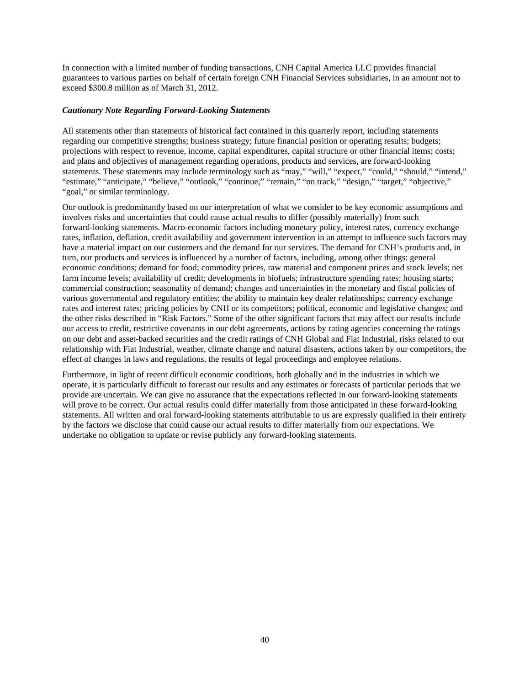In connection with a limited number of funding transactions, CNH Capital America LLC provides financial guarantees to various parties on behalf of certain foreign CNH Financial Services subsidiaries, in an amount not to exceed \$300.8 million as of March 31, 2012.

#### *Cautionary Note Regarding Forward-Looking Statements*

All statements other than statements of historical fact contained in this quarterly report, including statements regarding our competitive strengths; business strategy; future financial position or operating results; budgets; projections with respect to revenue, income, capital expenditures, capital structure or other financial items; costs; and plans and objectives of management regarding operations, products and services, are forward-looking statements. These statements may include terminology such as "may," "will," "expect," "could," "should," "intend," "estimate," "anticipate," "believe," "outlook," "continue," "remain," "on track," "design," "target," "objective," "goal," or similar terminology.

Our outlook is predominantly based on our interpretation of what we consider to be key economic assumptions and involves risks and uncertainties that could cause actual results to differ (possibly materially) from such forward-looking statements. Macro-economic factors including monetary policy, interest rates, currency exchange rates, inflation, deflation, credit availability and government intervention in an attempt to influence such factors may have a material impact on our customers and the demand for our services. The demand for CNH's products and, in turn, our products and services is influenced by a number of factors, including, among other things: general economic conditions; demand for food; commodity prices, raw material and component prices and stock levels; net farm income levels; availability of credit; developments in biofuels; infrastructure spending rates; housing starts; commercial construction; seasonality of demand; changes and uncertainties in the monetary and fiscal policies of various governmental and regulatory entities; the ability to maintain key dealer relationships; currency exchange rates and interest rates; pricing policies by CNH or its competitors; political, economic and legislative changes; and the other risks described in "Risk Factors." Some of the other significant factors that may affect our results include our access to credit, restrictive covenants in our debt agreements, actions by rating agencies concerning the ratings on our debt and asset-backed securities and the credit ratings of CNH Global and Fiat Industrial, risks related to our relationship with Fiat Industrial, weather, climate change and natural disasters, actions taken by our competitors, the effect of changes in laws and regulations, the results of legal proceedings and employee relations.

Furthermore, in light of recent difficult economic conditions, both globally and in the industries in which we operate, it is particularly difficult to forecast our results and any estimates or forecasts of particular periods that we provide are uncertain. We can give no assurance that the expectations reflected in our forward-looking statements will prove to be correct. Our actual results could differ materially from those anticipated in these forward-looking statements. All written and oral forward-looking statements attributable to us are expressly qualified in their entirety by the factors we disclose that could cause our actual results to differ materially from our expectations. We undertake no obligation to update or revise publicly any forward-looking statements.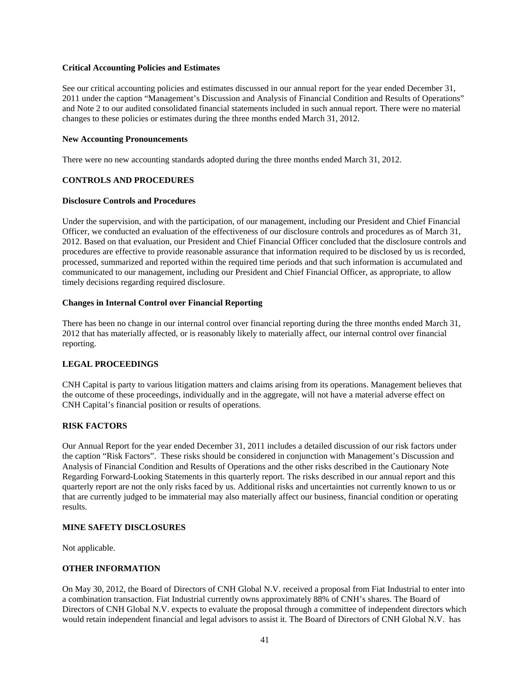#### **Critical Accounting Policies and Estimates**

See our critical accounting policies and estimates discussed in our annual report for the year ended December 31, 2011 under the caption "Management's Discussion and Analysis of Financial Condition and Results of Operations" and Note 2 to our audited consolidated financial statements included in such annual report. There were no material changes to these policies or estimates during the three months ended March 31, 2012.

### **New Accounting Pronouncements**

There were no new accounting standards adopted during the three months ended March 31, 2012.

## **CONTROLS AND PROCEDURES**

### **Disclosure Controls and Procedures**

Under the supervision, and with the participation, of our management, including our President and Chief Financial Officer, we conducted an evaluation of the effectiveness of our disclosure controls and procedures as of March 31, 2012. Based on that evaluation, our President and Chief Financial Officer concluded that the disclosure controls and procedures are effective to provide reasonable assurance that information required to be disclosed by us is recorded, processed, summarized and reported within the required time periods and that such information is accumulated and communicated to our management, including our President and Chief Financial Officer, as appropriate, to allow timely decisions regarding required disclosure.

## **Changes in Internal Control over Financial Reporting**

There has been no change in our internal control over financial reporting during the three months ended March 31, 2012 that has materially affected, or is reasonably likely to materially affect, our internal control over financial reporting.

## **LEGAL PROCEEDINGS**

CNH Capital is party to various litigation matters and claims arising from its operations. Management believes that the outcome of these proceedings, individually and in the aggregate, will not have a material adverse effect on CNH Capital's financial position or results of operations.

## **RISK FACTORS**

Our Annual Report for the year ended December 31, 2011 includes a detailed discussion of our risk factors under the caption "Risk Factors". These risks should be considered in conjunction with Management's Discussion and Analysis of Financial Condition and Results of Operations and the other risks described in the Cautionary Note Regarding Forward-Looking Statements in this quarterly report. The risks described in our annual report and this quarterly report are not the only risks faced by us. Additional risks and uncertainties not currently known to us or that are currently judged to be immaterial may also materially affect our business, financial condition or operating results.

## **MINE SAFETY DISCLOSURES**

Not applicable.

## **OTHER INFORMATION**

On May 30, 2012, the Board of Directors of CNH Global N.V. received a proposal from Fiat Industrial to enter into a combination transaction. Fiat Industrial currently owns approximately 88% of CNH's shares. The Board of Directors of CNH Global N.V. expects to evaluate the proposal through a committee of independent directors which would retain independent financial and legal advisors to assist it. The Board of Directors of CNH Global N.V. has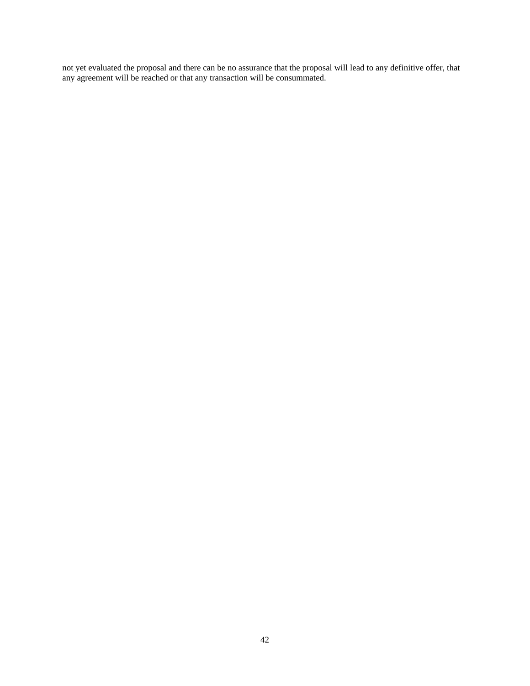not yet evaluated the proposal and there can be no assurance that the proposal will lead to any definitive offer, that any agreement will be reached or that any transaction will be consummated.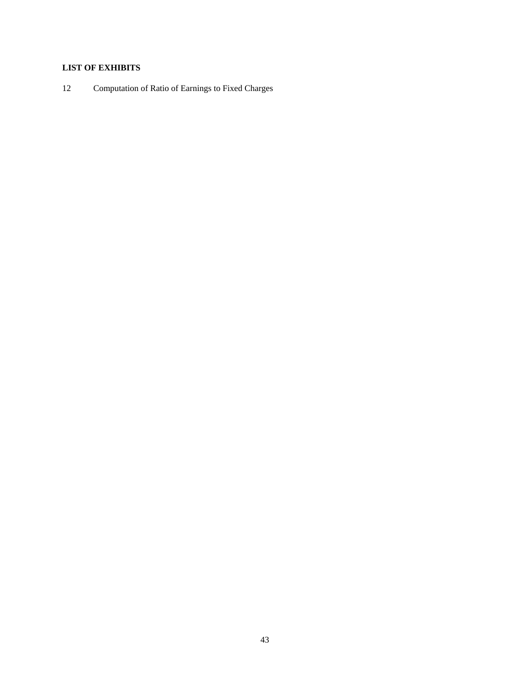## **LIST OF EXHIBITS**

12 Computation of Ratio of Earnings to Fixed Charges